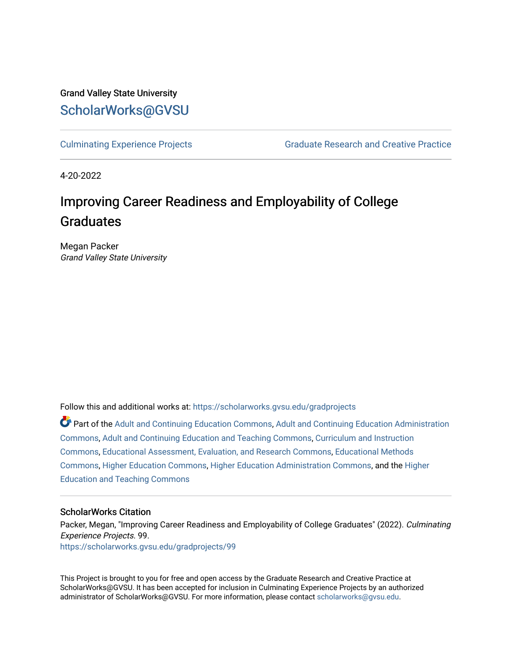# Grand Valley State University [ScholarWorks@GVSU](https://scholarworks.gvsu.edu/)

[Culminating Experience Projects](https://scholarworks.gvsu.edu/gradprojects) [Graduate Research and Creative Practice](https://scholarworks.gvsu.edu/grcp) 

4-20-2022

# Improving Career Readiness and Employability of College Graduates

Megan Packer Grand Valley State University

Follow this and additional works at: [https://scholarworks.gvsu.edu/gradprojects](https://scholarworks.gvsu.edu/gradprojects?utm_source=scholarworks.gvsu.edu%2Fgradprojects%2F99&utm_medium=PDF&utm_campaign=PDFCoverPages) 

Part of the [Adult and Continuing Education Commons,](http://network.bepress.com/hgg/discipline/1375?utm_source=scholarworks.gvsu.edu%2Fgradprojects%2F99&utm_medium=PDF&utm_campaign=PDFCoverPages) [Adult and Continuing Education Administration](http://network.bepress.com/hgg/discipline/789?utm_source=scholarworks.gvsu.edu%2Fgradprojects%2F99&utm_medium=PDF&utm_campaign=PDFCoverPages) [Commons](http://network.bepress.com/hgg/discipline/789?utm_source=scholarworks.gvsu.edu%2Fgradprojects%2F99&utm_medium=PDF&utm_campaign=PDFCoverPages), [Adult and Continuing Education and Teaching Commons,](http://network.bepress.com/hgg/discipline/804?utm_source=scholarworks.gvsu.edu%2Fgradprojects%2F99&utm_medium=PDF&utm_campaign=PDFCoverPages) [Curriculum and Instruction](http://network.bepress.com/hgg/discipline/786?utm_source=scholarworks.gvsu.edu%2Fgradprojects%2F99&utm_medium=PDF&utm_campaign=PDFCoverPages) [Commons](http://network.bepress.com/hgg/discipline/786?utm_source=scholarworks.gvsu.edu%2Fgradprojects%2F99&utm_medium=PDF&utm_campaign=PDFCoverPages), [Educational Assessment, Evaluation, and Research Commons,](http://network.bepress.com/hgg/discipline/796?utm_source=scholarworks.gvsu.edu%2Fgradprojects%2F99&utm_medium=PDF&utm_campaign=PDFCoverPages) [Educational Methods](http://network.bepress.com/hgg/discipline/1227?utm_source=scholarworks.gvsu.edu%2Fgradprojects%2F99&utm_medium=PDF&utm_campaign=PDFCoverPages)  [Commons](http://network.bepress.com/hgg/discipline/1227?utm_source=scholarworks.gvsu.edu%2Fgradprojects%2F99&utm_medium=PDF&utm_campaign=PDFCoverPages), [Higher Education Commons](http://network.bepress.com/hgg/discipline/1245?utm_source=scholarworks.gvsu.edu%2Fgradprojects%2F99&utm_medium=PDF&utm_campaign=PDFCoverPages), [Higher Education Administration Commons](http://network.bepress.com/hgg/discipline/791?utm_source=scholarworks.gvsu.edu%2Fgradprojects%2F99&utm_medium=PDF&utm_campaign=PDFCoverPages), and the [Higher](http://network.bepress.com/hgg/discipline/806?utm_source=scholarworks.gvsu.edu%2Fgradprojects%2F99&utm_medium=PDF&utm_campaign=PDFCoverPages)  [Education and Teaching Commons](http://network.bepress.com/hgg/discipline/806?utm_source=scholarworks.gvsu.edu%2Fgradprojects%2F99&utm_medium=PDF&utm_campaign=PDFCoverPages) 

# ScholarWorks Citation

Packer, Megan, "Improving Career Readiness and Employability of College Graduates" (2022). Culminating Experience Projects. 99. [https://scholarworks.gvsu.edu/gradprojects/99](https://scholarworks.gvsu.edu/gradprojects/99?utm_source=scholarworks.gvsu.edu%2Fgradprojects%2F99&utm_medium=PDF&utm_campaign=PDFCoverPages)

This Project is brought to you for free and open access by the Graduate Research and Creative Practice at ScholarWorks@GVSU. It has been accepted for inclusion in Culminating Experience Projects by an authorized administrator of ScholarWorks@GVSU. For more information, please contact [scholarworks@gvsu.edu](mailto:scholarworks@gvsu.edu).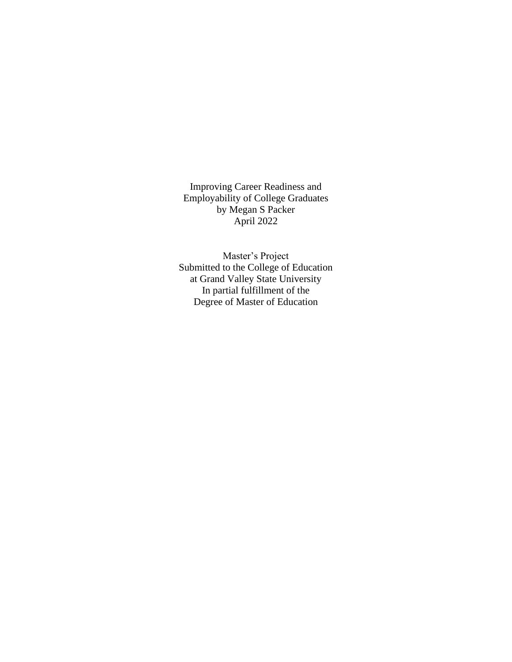Improving Career Readiness and Employability of College Graduates by Megan S Packer April 2022

Master's Project Submitted to the College of Education at Grand Valley State University In partial fulfillment of the Degree of Master of Education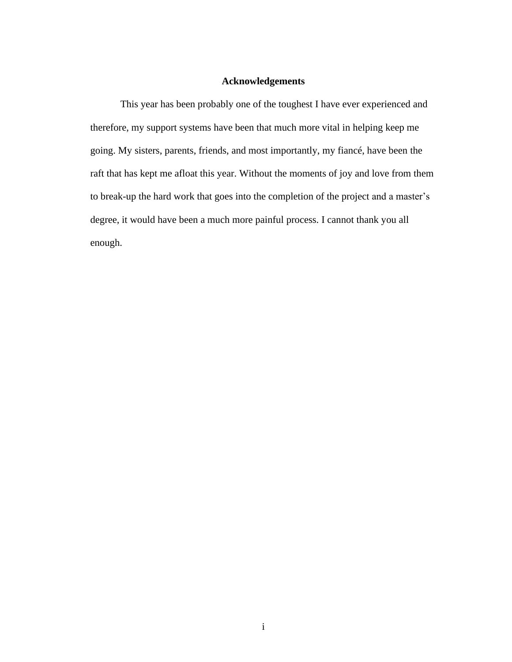# **Acknowledgements**

This year has been probably one of the toughest I have ever experienced and therefore, my support systems have been that much more vital in helping keep me going. My sisters, parents, friends, and most importantly, my fiancé, have been the raft that has kept me afloat this year. Without the moments of joy and love from them to break-up the hard work that goes into the completion of the project and a master's degree, it would have been a much more painful process. I cannot thank you all enough.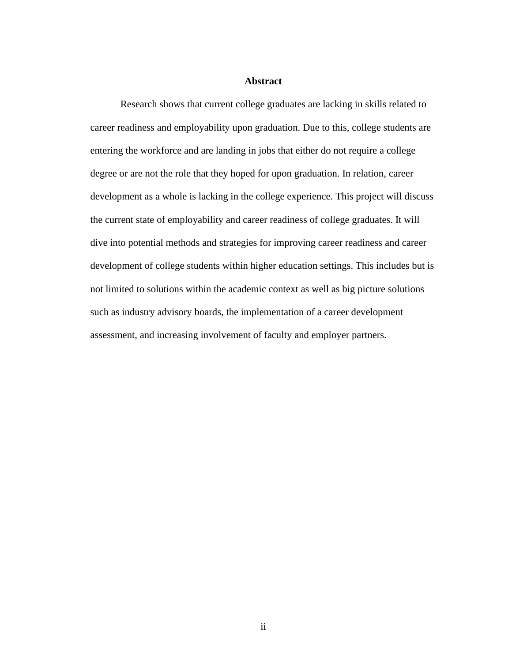# **Abstract**

Research shows that current college graduates are lacking in skills related to career readiness and employability upon graduation. Due to this, college students are entering the workforce and are landing in jobs that either do not require a college degree or are not the role that they hoped for upon graduation. In relation, career development as a whole is lacking in the college experience. This project will discuss the current state of employability and career readiness of college graduates. It will dive into potential methods and strategies for improving career readiness and career development of college students within higher education settings. This includes but is not limited to solutions within the academic context as well as big picture solutions such as industry advisory boards, the implementation of a career development assessment, and increasing involvement of faculty and employer partners.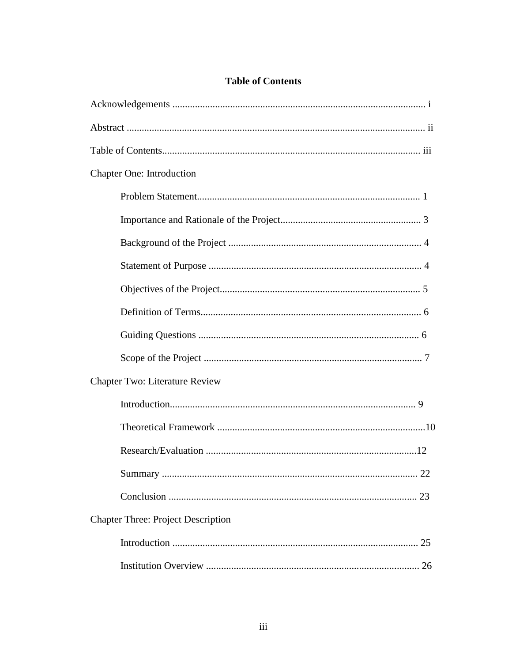| <b>Chapter One: Introduction</b>          |
|-------------------------------------------|
|                                           |
|                                           |
|                                           |
|                                           |
|                                           |
|                                           |
|                                           |
|                                           |
| Chapter Two: Literature Review            |
|                                           |
|                                           |
|                                           |
|                                           |
|                                           |
| <b>Chapter Three: Project Description</b> |
|                                           |
|                                           |

# **Table of Contents**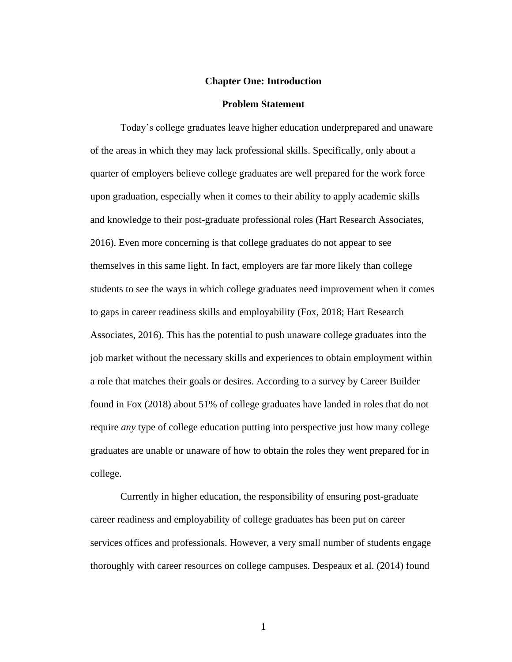#### **Chapter One: Introduction**

#### **Problem Statement**

Today's college graduates leave higher education underprepared and unaware of the areas in which they may lack professional skills. Specifically, only about a quarter of employers believe college graduates are well prepared for the work force upon graduation, especially when it comes to their ability to apply academic skills and knowledge to their post-graduate professional roles (Hart Research Associates, 2016). Even more concerning is that college graduates do not appear to see themselves in this same light. In fact, employers are far more likely than college students to see the ways in which college graduates need improvement when it comes to gaps in career readiness skills and employability (Fox, 2018; Hart Research Associates, 2016). This has the potential to push unaware college graduates into the job market without the necessary skills and experiences to obtain employment within a role that matches their goals or desires. According to a survey by Career Builder found in Fox (2018) about 51% of college graduates have landed in roles that do not require *any* type of college education putting into perspective just how many college graduates are unable or unaware of how to obtain the roles they went prepared for in college.

Currently in higher education, the responsibility of ensuring post-graduate career readiness and employability of college graduates has been put on career services offices and professionals. However, a very small number of students engage thoroughly with career resources on college campuses. Despeaux et al. (2014) found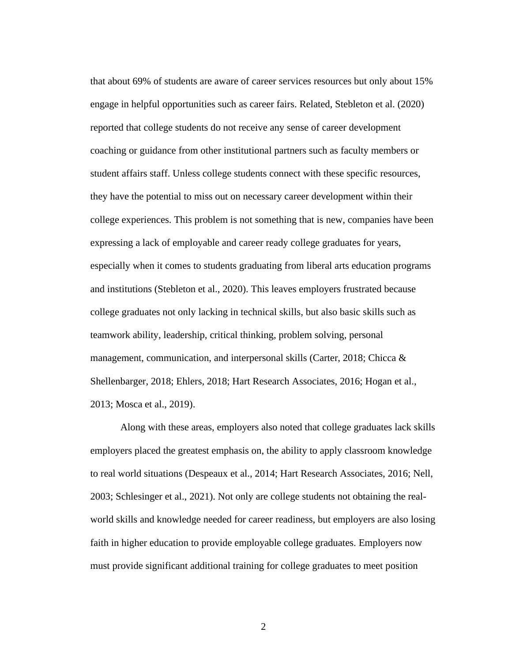that about 69% of students are aware of career services resources but only about 15% engage in helpful opportunities such as career fairs. Related, Stebleton et al. (2020) reported that college students do not receive any sense of career development coaching or guidance from other institutional partners such as faculty members or student affairs staff. Unless college students connect with these specific resources, they have the potential to miss out on necessary career development within their college experiences. This problem is not something that is new, companies have been expressing a lack of employable and career ready college graduates for years, especially when it comes to students graduating from liberal arts education programs and institutions (Stebleton et al., 2020). This leaves employers frustrated because college graduates not only lacking in technical skills, but also basic skills such as teamwork ability, leadership, critical thinking, problem solving, personal management, communication, and interpersonal skills (Carter, 2018; Chicca & Shellenbarger, 2018; Ehlers, 2018; Hart Research Associates, 2016; Hogan et al., 2013; Mosca et al., 2019).

Along with these areas, employers also noted that college graduates lack skills employers placed the greatest emphasis on, the ability to apply classroom knowledge to real world situations (Despeaux et al., 2014; Hart Research Associates, 2016; Nell, 2003; Schlesinger et al., 2021). Not only are college students not obtaining the realworld skills and knowledge needed for career readiness, but employers are also losing faith in higher education to provide employable college graduates. Employers now must provide significant additional training for college graduates to meet position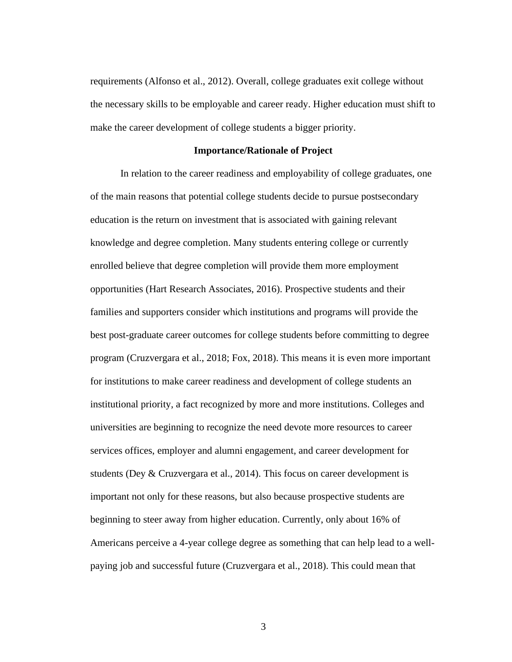requirements (Alfonso et al., 2012). Overall, college graduates exit college without the necessary skills to be employable and career ready. Higher education must shift to make the career development of college students a bigger priority.

#### **Importance/Rationale of Project**

In relation to the career readiness and employability of college graduates, one of the main reasons that potential college students decide to pursue postsecondary education is the return on investment that is associated with gaining relevant knowledge and degree completion. Many students entering college or currently enrolled believe that degree completion will provide them more employment opportunities (Hart Research Associates, 2016). Prospective students and their families and supporters consider which institutions and programs will provide the best post-graduate career outcomes for college students before committing to degree program (Cruzvergara et al., 2018; Fox, 2018). This means it is even more important for institutions to make career readiness and development of college students an institutional priority, a fact recognized by more and more institutions. Colleges and universities are beginning to recognize the need devote more resources to career services offices, employer and alumni engagement, and career development for students (Dey & Cruzvergara et al., 2014). This focus on career development is important not only for these reasons, but also because prospective students are beginning to steer away from higher education. Currently, only about 16% of Americans perceive a 4-year college degree as something that can help lead to a wellpaying job and successful future (Cruzvergara et al., 2018). This could mean that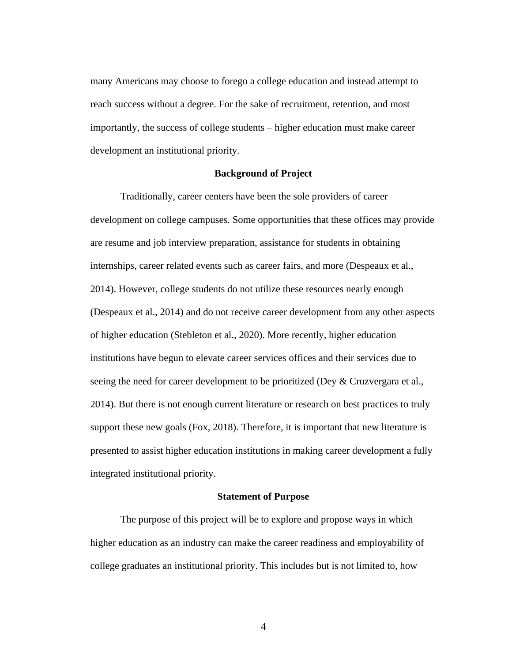many Americans may choose to forego a college education and instead attempt to reach success without a degree. For the sake of recruitment, retention, and most importantly, the success of college students – higher education must make career development an institutional priority.

#### **Background of Project**

Traditionally, career centers have been the sole providers of career development on college campuses. Some opportunities that these offices may provide are resume and job interview preparation, assistance for students in obtaining internships, career related events such as career fairs, and more (Despeaux et al., 2014). However, college students do not utilize these resources nearly enough (Despeaux et al., 2014) and do not receive career development from any other aspects of higher education (Stebleton et al., 2020). More recently, higher education institutions have begun to elevate career services offices and their services due to seeing the need for career development to be prioritized (Dey & Cruzvergara et al., 2014). But there is not enough current literature or research on best practices to truly support these new goals (Fox, 2018). Therefore, it is important that new literature is presented to assist higher education institutions in making career development a fully integrated institutional priority.

#### **Statement of Purpose**

The purpose of this project will be to explore and propose ways in which higher education as an industry can make the career readiness and employability of college graduates an institutional priority. This includes but is not limited to, how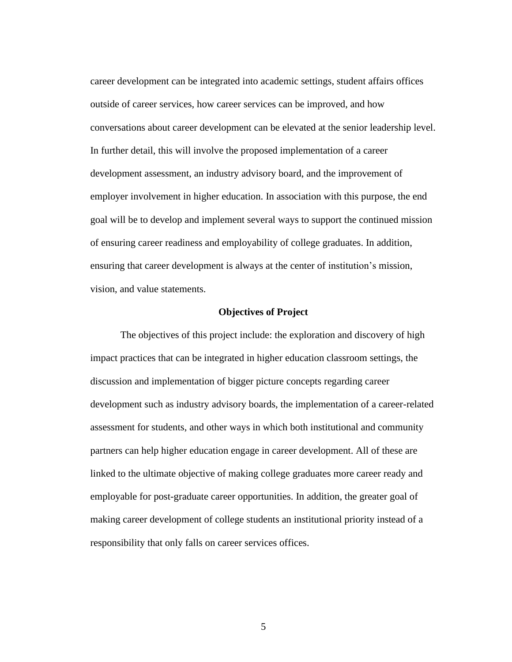career development can be integrated into academic settings, student affairs offices outside of career services, how career services can be improved, and how conversations about career development can be elevated at the senior leadership level. In further detail, this will involve the proposed implementation of a career development assessment, an industry advisory board, and the improvement of employer involvement in higher education. In association with this purpose, the end goal will be to develop and implement several ways to support the continued mission of ensuring career readiness and employability of college graduates. In addition, ensuring that career development is always at the center of institution's mission, vision, and value statements.

# **Objectives of Project**

The objectives of this project include: the exploration and discovery of high impact practices that can be integrated in higher education classroom settings, the discussion and implementation of bigger picture concepts regarding career development such as industry advisory boards, the implementation of a career-related assessment for students, and other ways in which both institutional and community partners can help higher education engage in career development. All of these are linked to the ultimate objective of making college graduates more career ready and employable for post-graduate career opportunities. In addition, the greater goal of making career development of college students an institutional priority instead of a responsibility that only falls on career services offices.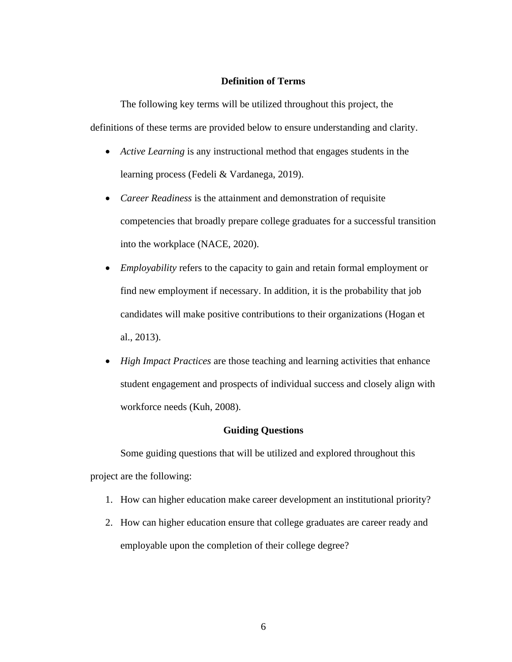# **Definition of Terms**

The following key terms will be utilized throughout this project, the definitions of these terms are provided below to ensure understanding and clarity.

- *Active Learning* is any instructional method that engages students in the learning process (Fedeli & Vardanega, 2019).
- *Career Readiness* is the attainment and demonstration of requisite competencies that broadly prepare college graduates for a successful transition into the workplace (NACE, 2020).
- *Employability* refers to the capacity to gain and retain formal employment or find new employment if necessary. In addition, it is the probability that job candidates will make positive contributions to their organizations (Hogan et al., 2013).
- *High Impact Practices* are those teaching and learning activities that enhance student engagement and prospects of individual success and closely align with workforce needs (Kuh, 2008).

# **Guiding Questions**

Some guiding questions that will be utilized and explored throughout this project are the following:

- 1. How can higher education make career development an institutional priority?
- 2. How can higher education ensure that college graduates are career ready and employable upon the completion of their college degree?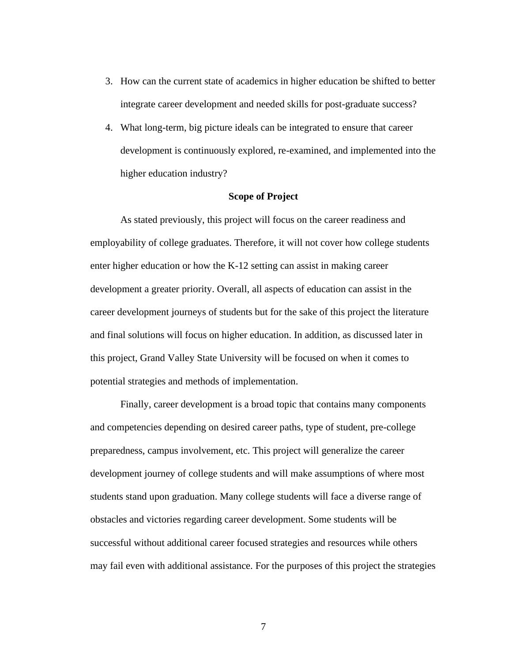- 3. How can the current state of academics in higher education be shifted to better integrate career development and needed skills for post-graduate success?
- 4. What long-term, big picture ideals can be integrated to ensure that career development is continuously explored, re-examined, and implemented into the higher education industry?

#### **Scope of Project**

As stated previously, this project will focus on the career readiness and employability of college graduates. Therefore, it will not cover how college students enter higher education or how the K-12 setting can assist in making career development a greater priority. Overall, all aspects of education can assist in the career development journeys of students but for the sake of this project the literature and final solutions will focus on higher education. In addition, as discussed later in this project, Grand Valley State University will be focused on when it comes to potential strategies and methods of implementation.

Finally, career development is a broad topic that contains many components and competencies depending on desired career paths, type of student, pre-college preparedness, campus involvement, etc. This project will generalize the career development journey of college students and will make assumptions of where most students stand upon graduation. Many college students will face a diverse range of obstacles and victories regarding career development. Some students will be successful without additional career focused strategies and resources while others may fail even with additional assistance. For the purposes of this project the strategies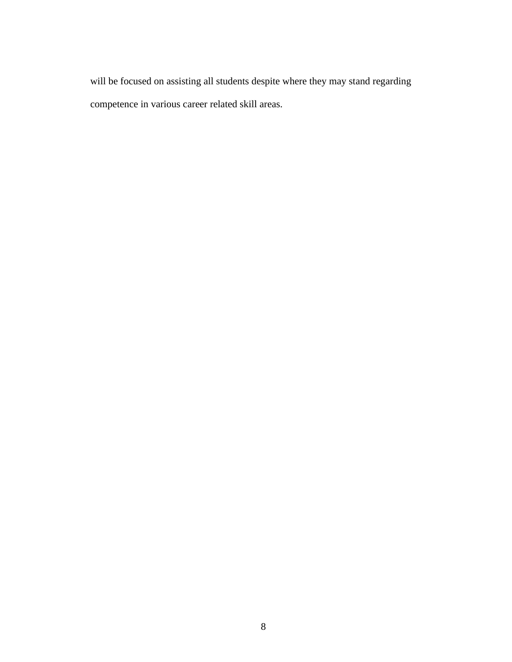will be focused on assisting all students despite where they may stand regarding competence in various career related skill areas.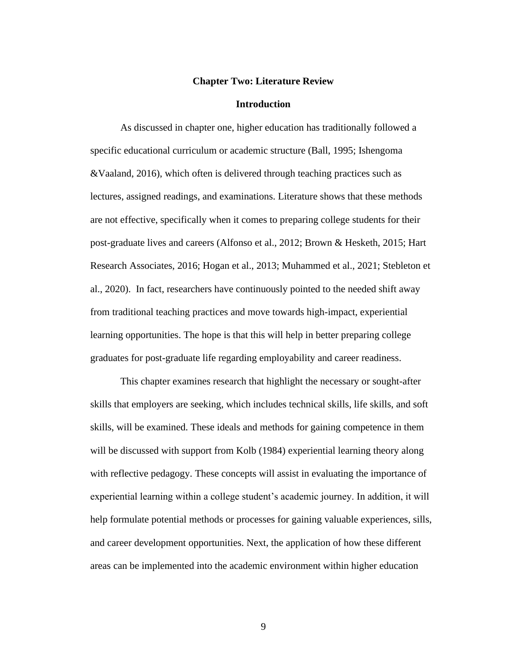#### **Chapter Two: Literature Review**

#### **Introduction**

As discussed in chapter one, higher education has traditionally followed a specific educational curriculum or academic structure (Ball, 1995; Ishengoma &Vaaland, 2016), which often is delivered through teaching practices such as lectures, assigned readings, and examinations. Literature shows that these methods are not effective, specifically when it comes to preparing college students for their post-graduate lives and careers (Alfonso et al., 2012; Brown & Hesketh, 2015; Hart Research Associates, 2016; Hogan et al., 2013; Muhammed et al., 2021; Stebleton et al., 2020). In fact, researchers have continuously pointed to the needed shift away from traditional teaching practices and move towards high-impact, experiential learning opportunities. The hope is that this will help in better preparing college graduates for post-graduate life regarding employability and career readiness.

This chapter examines research that highlight the necessary or sought-after skills that employers are seeking, which includes technical skills, life skills, and soft skills, will be examined. These ideals and methods for gaining competence in them will be discussed with support from Kolb (1984) experiential learning theory along with reflective pedagogy. These concepts will assist in evaluating the importance of experiential learning within a college student's academic journey. In addition, it will help formulate potential methods or processes for gaining valuable experiences, sills, and career development opportunities. Next, the application of how these different areas can be implemented into the academic environment within higher education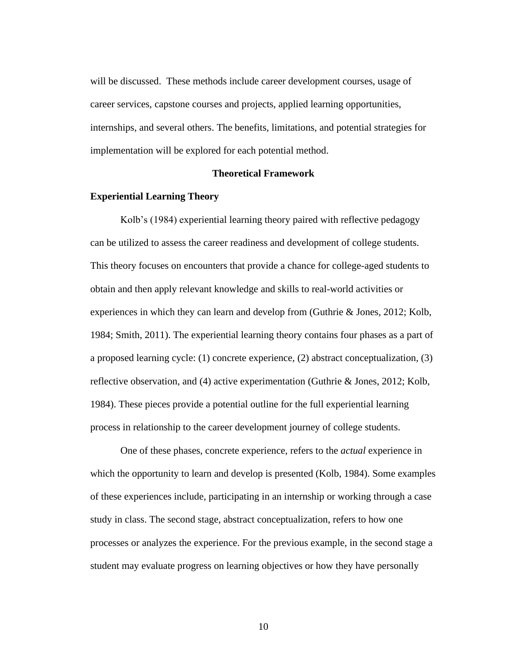will be discussed. These methods include career development courses, usage of career services, capstone courses and projects, applied learning opportunities, internships, and several others. The benefits, limitations, and potential strategies for implementation will be explored for each potential method.

#### **Theoretical Framework**

#### **Experiential Learning Theory**

Kolb's (1984) experiential learning theory paired with reflective pedagogy can be utilized to assess the career readiness and development of college students. This theory focuses on encounters that provide a chance for college-aged students to obtain and then apply relevant knowledge and skills to real-world activities or experiences in which they can learn and develop from (Guthrie & Jones, 2012; Kolb, 1984; Smith, 2011). The experiential learning theory contains four phases as a part of a proposed learning cycle: (1) concrete experience, (2) abstract conceptualization, (3) reflective observation, and (4) active experimentation (Guthrie & Jones, 2012; Kolb, 1984). These pieces provide a potential outline for the full experiential learning process in relationship to the career development journey of college students.

One of these phases, concrete experience, refers to the *actual* experience in which the opportunity to learn and develop is presented (Kolb, 1984). Some examples of these experiences include, participating in an internship or working through a case study in class. The second stage, abstract conceptualization, refers to how one processes or analyzes the experience. For the previous example, in the second stage a student may evaluate progress on learning objectives or how they have personally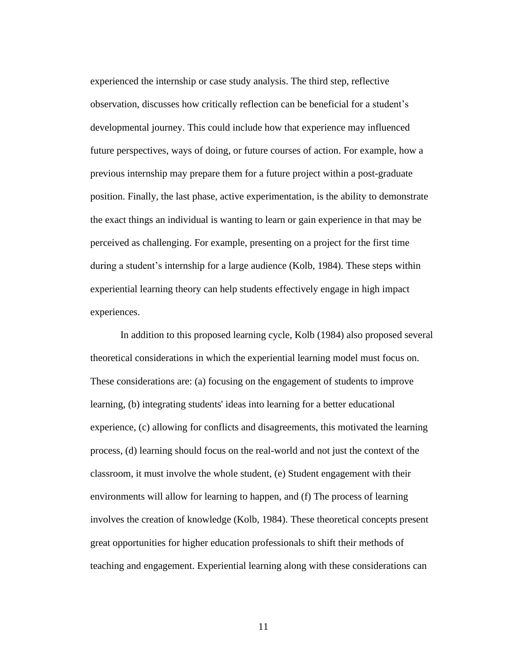experienced the internship or case study analysis. The third step, reflective observation, discusses how critically reflection can be beneficial for a student's developmental journey. This could include how that experience may influenced future perspectives, ways of doing, or future courses of action. For example, how a previous internship may prepare them for a future project within a post-graduate position. Finally, the last phase, active experimentation, is the ability to demonstrate the exact things an individual is wanting to learn or gain experience in that may be perceived as challenging. For example, presenting on a project for the first time during a student's internship for a large audience (Kolb, 1984). These steps within experiential learning theory can help students effectively engage in high impact experiences.

In addition to this proposed learning cycle, Kolb (1984) also proposed several theoretical considerations in which the experiential learning model must focus on. These considerations are: (a) focusing on the engagement of students to improve learning, (b) integrating students' ideas into learning for a better educational experience, (c) allowing for conflicts and disagreements, this motivated the learning process, (d) learning should focus on the real-world and not just the context of the classroom, it must involve the whole student, (e) Student engagement with their environments will allow for learning to happen, and (f) The process of learning involves the creation of knowledge (Kolb, 1984). These theoretical concepts present great opportunities for higher education professionals to shift their methods of teaching and engagement. Experiential learning along with these considerations can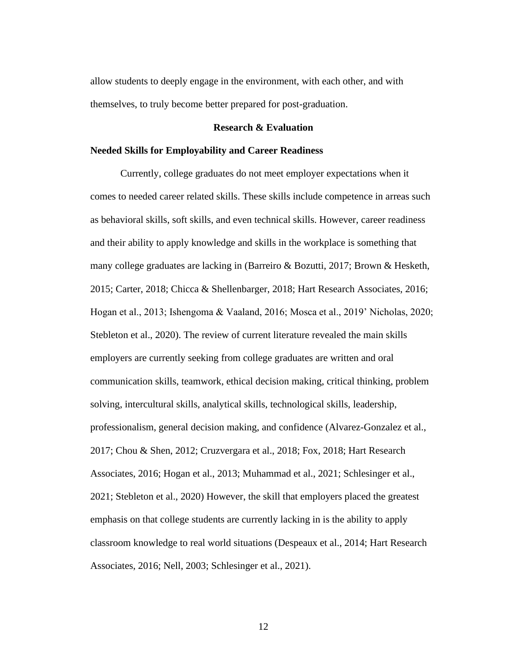allow students to deeply engage in the environment, with each other, and with themselves, to truly become better prepared for post-graduation.

#### **Research & Evaluation**

#### **Needed Skills for Employability and Career Readiness**

Currently, college graduates do not meet employer expectations when it comes to needed career related skills. These skills include competence in arreas such as behavioral skills, soft skills, and even technical skills. However, career readiness and their ability to apply knowledge and skills in the workplace is something that many college graduates are lacking in (Barreiro & Bozutti, 2017; Brown & Hesketh, 2015; Carter, 2018; Chicca & Shellenbarger, 2018; Hart Research Associates, 2016; Hogan et al., 2013; Ishengoma & Vaaland, 2016; Mosca et al., 2019' Nicholas, 2020; Stebleton et al., 2020). The review of current literature revealed the main skills employers are currently seeking from college graduates are written and oral communication skills, teamwork, ethical decision making, critical thinking, problem solving, intercultural skills, analytical skills, technological skills, leadership, professionalism, general decision making, and confidence (Alvarez-Gonzalez et al., 2017; Chou & Shen, 2012; Cruzvergara et al., 2018; Fox, 2018; Hart Research Associates, 2016; Hogan et al., 2013; Muhammad et al., 2021; Schlesinger et al., 2021; Stebleton et al., 2020) However, the skill that employers placed the greatest emphasis on that college students are currently lacking in is the ability to apply classroom knowledge to real world situations (Despeaux et al., 2014; Hart Research Associates, 2016; Nell, 2003; Schlesinger et al., 2021).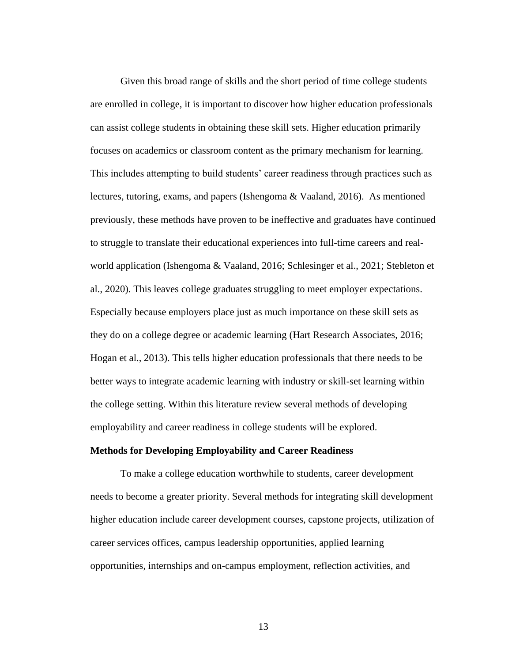Given this broad range of skills and the short period of time college students are enrolled in college, it is important to discover how higher education professionals can assist college students in obtaining these skill sets. Higher education primarily focuses on academics or classroom content as the primary mechanism for learning. This includes attempting to build students' career readiness through practices such as lectures, tutoring, exams, and papers (Ishengoma & Vaaland, 2016). As mentioned previously, these methods have proven to be ineffective and graduates have continued to struggle to translate their educational experiences into full-time careers and realworld application (Ishengoma & Vaaland, 2016; Schlesinger et al., 2021; Stebleton et al., 2020). This leaves college graduates struggling to meet employer expectations. Especially because employers place just as much importance on these skill sets as they do on a college degree or academic learning (Hart Research Associates, 2016; Hogan et al., 2013). This tells higher education professionals that there needs to be better ways to integrate academic learning with industry or skill-set learning within the college setting. Within this literature review several methods of developing employability and career readiness in college students will be explored.

# **Methods for Developing Employability and Career Readiness**

To make a college education worthwhile to students, career development needs to become a greater priority. Several methods for integrating skill development higher education include career development courses, capstone projects, utilization of career services offices, campus leadership opportunities, applied learning opportunities, internships and on-campus employment, reflection activities, and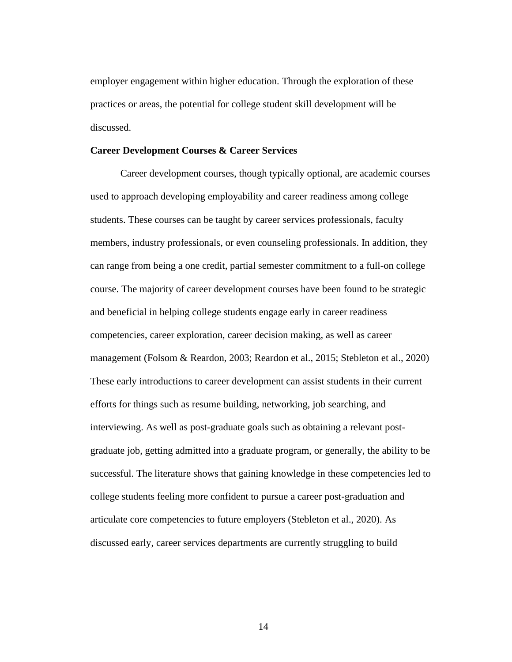employer engagement within higher education. Through the exploration of these practices or areas, the potential for college student skill development will be discussed.

#### **Career Development Courses & Career Services**

Career development courses, though typically optional, are academic courses used to approach developing employability and career readiness among college students. These courses can be taught by career services professionals, faculty members, industry professionals, or even counseling professionals. In addition, they can range from being a one credit, partial semester commitment to a full-on college course. The majority of career development courses have been found to be strategic and beneficial in helping college students engage early in career readiness competencies, career exploration, career decision making, as well as career management (Folsom & Reardon, 2003; Reardon et al., 2015; Stebleton et al., 2020) These early introductions to career development can assist students in their current efforts for things such as resume building, networking, job searching, and interviewing. As well as post-graduate goals such as obtaining a relevant postgraduate job, getting admitted into a graduate program, or generally, the ability to be successful. The literature shows that gaining knowledge in these competencies led to college students feeling more confident to pursue a career post-graduation and articulate core competencies to future employers (Stebleton et al., 2020). As discussed early, career services departments are currently struggling to build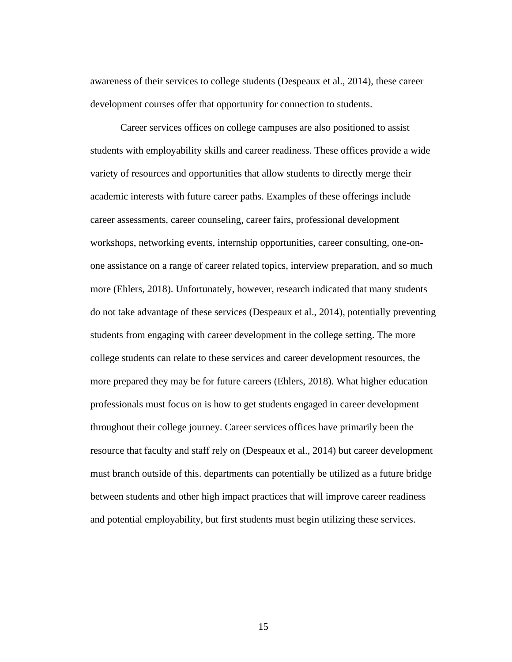awareness of their services to college students (Despeaux et al., 2014), these career development courses offer that opportunity for connection to students.

Career services offices on college campuses are also positioned to assist students with employability skills and career readiness. These offices provide a wide variety of resources and opportunities that allow students to directly merge their academic interests with future career paths. Examples of these offerings include career assessments, career counseling, career fairs, professional development workshops, networking events, internship opportunities, career consulting, one-onone assistance on a range of career related topics, interview preparation, and so much more (Ehlers, 2018). Unfortunately, however, research indicated that many students do not take advantage of these services (Despeaux et al., 2014), potentially preventing students from engaging with career development in the college setting. The more college students can relate to these services and career development resources, the more prepared they may be for future careers (Ehlers, 2018). What higher education professionals must focus on is how to get students engaged in career development throughout their college journey. Career services offices have primarily been the resource that faculty and staff rely on (Despeaux et al., 2014) but career development must branch outside of this. departments can potentially be utilized as a future bridge between students and other high impact practices that will improve career readiness and potential employability, but first students must begin utilizing these services.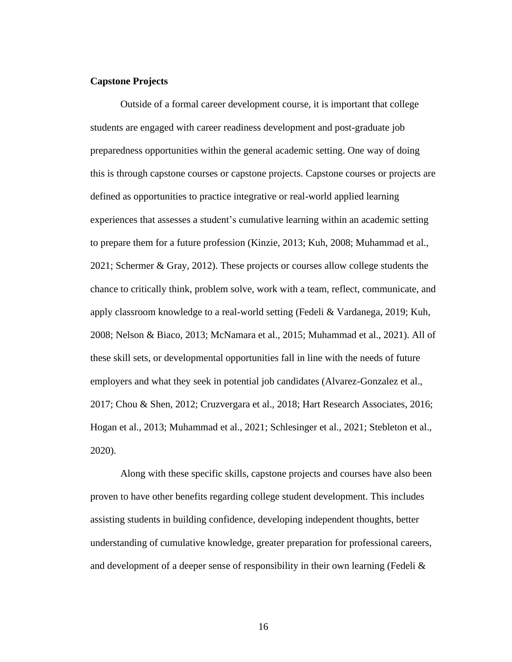#### **Capstone Projects**

Outside of a formal career development course, it is important that college students are engaged with career readiness development and post-graduate job preparedness opportunities within the general academic setting. One way of doing this is through capstone courses or capstone projects. Capstone courses or projects are defined as opportunities to practice integrative or real-world applied learning experiences that assesses a student's cumulative learning within an academic setting to prepare them for a future profession (Kinzie, 2013; Kuh, 2008; Muhammad et al., 2021; Schermer & Gray, 2012). These projects or courses allow college students the chance to critically think, problem solve, work with a team, reflect, communicate, and apply classroom knowledge to a real-world setting (Fedeli & Vardanega, 2019; Kuh, 2008; Nelson & Biaco, 2013; McNamara et al., 2015; Muhammad et al., 2021). All of these skill sets, or developmental opportunities fall in line with the needs of future employers and what they seek in potential job candidates (Alvarez-Gonzalez et al., 2017; Chou & Shen, 2012; Cruzvergara et al., 2018; Hart Research Associates, 2016; Hogan et al., 2013; Muhammad et al., 2021; Schlesinger et al., 2021; Stebleton et al., 2020).

Along with these specific skills, capstone projects and courses have also been proven to have other benefits regarding college student development. This includes assisting students in building confidence, developing independent thoughts, better understanding of cumulative knowledge, greater preparation for professional careers, and development of a deeper sense of responsibility in their own learning (Fedeli  $\&$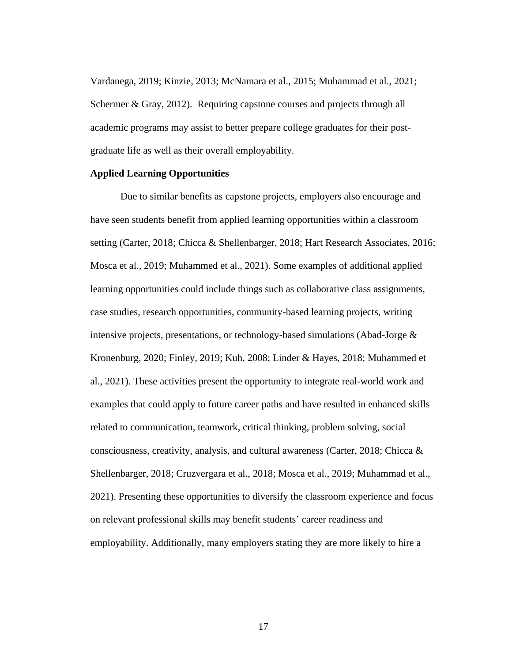Vardanega, 2019; Kinzie, 2013; McNamara et al., 2015; Muhammad et al., 2021; Schermer & Gray, 2012). Requiring capstone courses and projects through all academic programs may assist to better prepare college graduates for their postgraduate life as well as their overall employability.

#### **Applied Learning Opportunities**

Due to similar benefits as capstone projects, employers also encourage and have seen students benefit from applied learning opportunities within a classroom setting (Carter, 2018; Chicca & Shellenbarger, 2018; Hart Research Associates, 2016; Mosca et al., 2019; Muhammed et al., 2021). Some examples of additional applied learning opportunities could include things such as collaborative class assignments, case studies, research opportunities, community-based learning projects, writing intensive projects, presentations, or technology-based simulations (Abad-Jorge & Kronenburg, 2020; Finley, 2019; Kuh, 2008; Linder & Hayes, 2018; Muhammed et al., 2021). These activities present the opportunity to integrate real-world work and examples that could apply to future career paths and have resulted in enhanced skills related to communication, teamwork, critical thinking, problem solving, social consciousness, creativity, analysis, and cultural awareness (Carter, 2018; Chicca & Shellenbarger, 2018; Cruzvergara et al., 2018; Mosca et al., 2019; Muhammad et al., 2021). Presenting these opportunities to diversify the classroom experience and focus on relevant professional skills may benefit students' career readiness and employability. Additionally, many employers stating they are more likely to hire a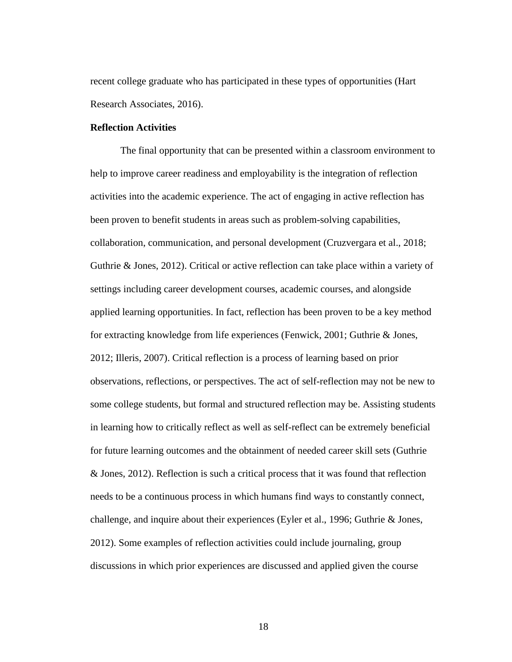recent college graduate who has participated in these types of opportunities (Hart Research Associates, 2016).

#### **Reflection Activities**

The final opportunity that can be presented within a classroom environment to help to improve career readiness and employability is the integration of reflection activities into the academic experience. The act of engaging in active reflection has been proven to benefit students in areas such as problem-solving capabilities, collaboration, communication, and personal development (Cruzvergara et al., 2018; Guthrie & Jones, 2012). Critical or active reflection can take place within a variety of settings including career development courses, academic courses, and alongside applied learning opportunities. In fact, reflection has been proven to be a key method for extracting knowledge from life experiences (Fenwick, 2001; Guthrie & Jones, 2012; Illeris, 2007). Critical reflection is a process of learning based on prior observations, reflections, or perspectives. The act of self-reflection may not be new to some college students, but formal and structured reflection may be. Assisting students in learning how to critically reflect as well as self-reflect can be extremely beneficial for future learning outcomes and the obtainment of needed career skill sets (Guthrie & Jones, 2012). Reflection is such a critical process that it was found that reflection needs to be a continuous process in which humans find ways to constantly connect, challenge, and inquire about their experiences (Eyler et al., 1996; Guthrie & Jones, 2012). Some examples of reflection activities could include journaling, group discussions in which prior experiences are discussed and applied given the course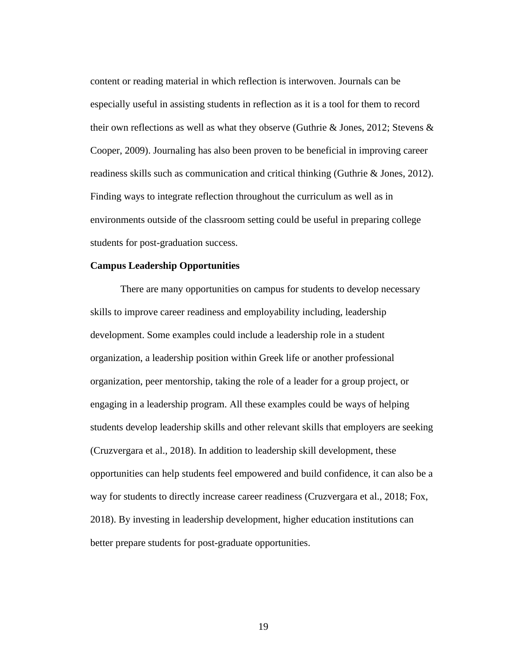content or reading material in which reflection is interwoven. Journals can be especially useful in assisting students in reflection as it is a tool for them to record their own reflections as well as what they observe (Guthrie & Jones, 2012; Stevens & Cooper, 2009). Journaling has also been proven to be beneficial in improving career readiness skills such as communication and critical thinking (Guthrie & Jones, 2012). Finding ways to integrate reflection throughout the curriculum as well as in environments outside of the classroom setting could be useful in preparing college students for post-graduation success.

#### **Campus Leadership Opportunities**

There are many opportunities on campus for students to develop necessary skills to improve career readiness and employability including, leadership development. Some examples could include a leadership role in a student organization, a leadership position within Greek life or another professional organization, peer mentorship, taking the role of a leader for a group project, or engaging in a leadership program. All these examples could be ways of helping students develop leadership skills and other relevant skills that employers are seeking (Cruzvergara et al., 2018). In addition to leadership skill development, these opportunities can help students feel empowered and build confidence, it can also be a way for students to directly increase career readiness (Cruzvergara et al., 2018; Fox, 2018). By investing in leadership development, higher education institutions can better prepare students for post-graduate opportunities.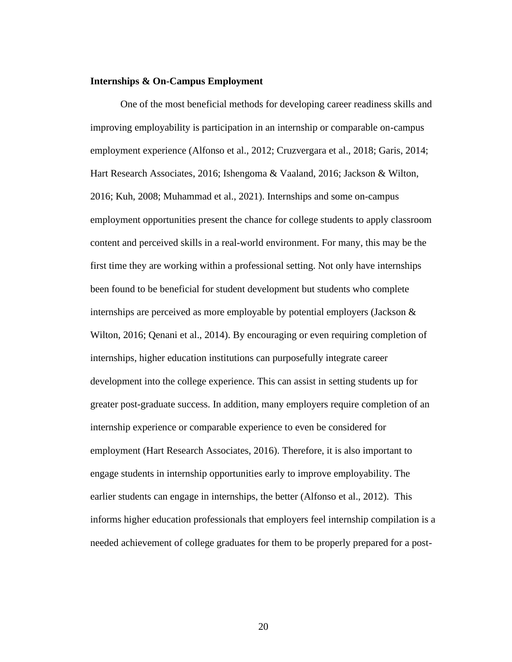#### **Internships & On-Campus Employment**

One of the most beneficial methods for developing career readiness skills and improving employability is participation in an internship or comparable on-campus employment experience (Alfonso et al., 2012; Cruzvergara et al., 2018; Garis, 2014; Hart Research Associates, 2016; Ishengoma & Vaaland, 2016; Jackson & Wilton, 2016; Kuh, 2008; Muhammad et al., 2021). Internships and some on-campus employment opportunities present the chance for college students to apply classroom content and perceived skills in a real-world environment. For many, this may be the first time they are working within a professional setting. Not only have internships been found to be beneficial for student development but students who complete internships are perceived as more employable by potential employers (Jackson & Wilton, 2016; Qenani et al., 2014). By encouraging or even requiring completion of internships, higher education institutions can purposefully integrate career development into the college experience. This can assist in setting students up for greater post-graduate success. In addition, many employers require completion of an internship experience or comparable experience to even be considered for employment (Hart Research Associates, 2016). Therefore, it is also important to engage students in internship opportunities early to improve employability. The earlier students can engage in internships, the better (Alfonso et al., 2012). This informs higher education professionals that employers feel internship compilation is a needed achievement of college graduates for them to be properly prepared for a post-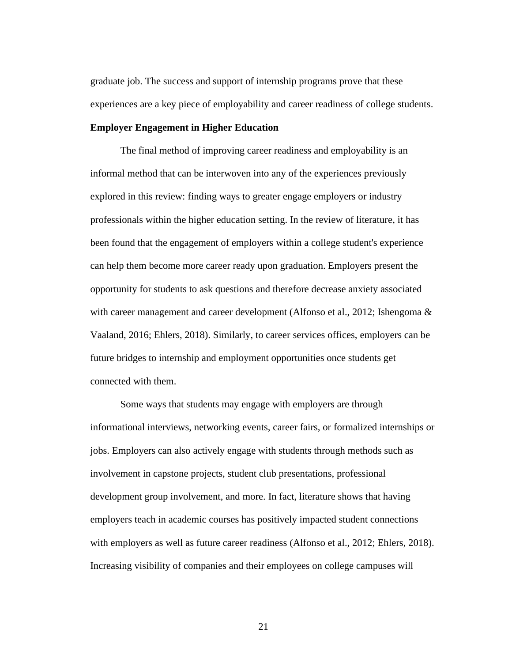graduate job. The success and support of internship programs prove that these experiences are a key piece of employability and career readiness of college students.

#### **Employer Engagement in Higher Education**

The final method of improving career readiness and employability is an informal method that can be interwoven into any of the experiences previously explored in this review: finding ways to greater engage employers or industry professionals within the higher education setting. In the review of literature, it has been found that the engagement of employers within a college student's experience can help them become more career ready upon graduation. Employers present the opportunity for students to ask questions and therefore decrease anxiety associated with career management and career development (Alfonso et al., 2012; Ishengoma & Vaaland, 2016; Ehlers, 2018). Similarly, to career services offices, employers can be future bridges to internship and employment opportunities once students get connected with them.

Some ways that students may engage with employers are through informational interviews, networking events, career fairs, or formalized internships or jobs. Employers can also actively engage with students through methods such as involvement in capstone projects, student club presentations, professional development group involvement, and more. In fact, literature shows that having employers teach in academic courses has positively impacted student connections with employers as well as future career readiness (Alfonso et al., 2012; Ehlers, 2018). Increasing visibility of companies and their employees on college campuses will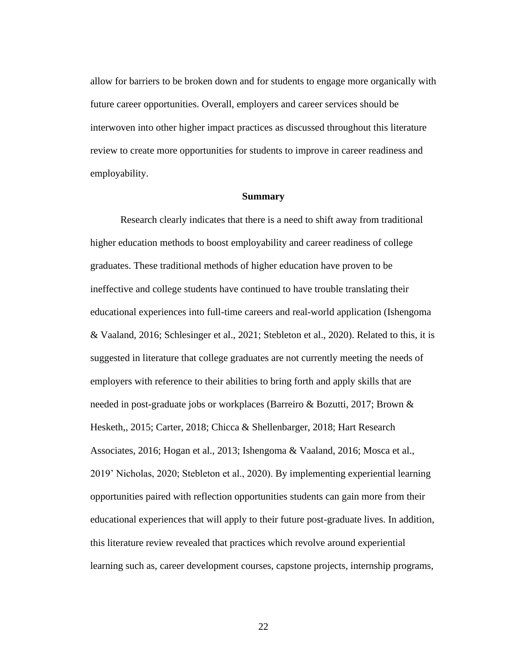allow for barriers to be broken down and for students to engage more organically with future career opportunities. Overall, employers and career services should be interwoven into other higher impact practices as discussed throughout this literature review to create more opportunities for students to improve in career readiness and employability.

# **Summary**

Research clearly indicates that there is a need to shift away from traditional higher education methods to boost employability and career readiness of college graduates. These traditional methods of higher education have proven to be ineffective and college students have continued to have trouble translating their educational experiences into full-time careers and real-world application (Ishengoma & Vaaland, 2016; Schlesinger et al., 2021; Stebleton et al., 2020). Related to this, it is suggested in literature that college graduates are not currently meeting the needs of employers with reference to their abilities to bring forth and apply skills that are needed in post-graduate jobs or workplaces (Barreiro & Bozutti, 2017; Brown & Hesketh,, 2015; Carter, 2018; Chicca & Shellenbarger, 2018; Hart Research Associates, 2016; Hogan et al., 2013; Ishengoma & Vaaland, 2016; Mosca et al., 2019' Nicholas, 2020; Stebleton et al., 2020). By implementing experiential learning opportunities paired with reflection opportunities students can gain more from their educational experiences that will apply to their future post-graduate lives. In addition, this literature review revealed that practices which revolve around experiential learning such as, career development courses, capstone projects, internship programs,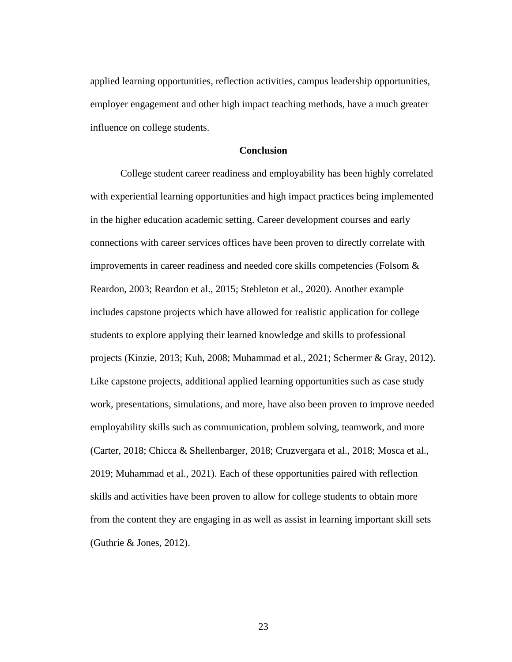applied learning opportunities, reflection activities, campus leadership opportunities, employer engagement and other high impact teaching methods, have a much greater influence on college students.

# **Conclusion**

College student career readiness and employability has been highly correlated with experiential learning opportunities and high impact practices being implemented in the higher education academic setting. Career development courses and early connections with career services offices have been proven to directly correlate with improvements in career readiness and needed core skills competencies (Folsom & Reardon, 2003; Reardon et al., 2015; Stebleton et al., 2020). Another example includes capstone projects which have allowed for realistic application for college students to explore applying their learned knowledge and skills to professional projects (Kinzie, 2013; Kuh, 2008; Muhammad et al., 2021; Schermer & Gray, 2012). Like capstone projects, additional applied learning opportunities such as case study work, presentations, simulations, and more, have also been proven to improve needed employability skills such as communication, problem solving, teamwork, and more (Carter, 2018; Chicca & Shellenbarger, 2018; Cruzvergara et al., 2018; Mosca et al., 2019; Muhammad et al., 2021). Each of these opportunities paired with reflection skills and activities have been proven to allow for college students to obtain more from the content they are engaging in as well as assist in learning important skill sets (Guthrie & Jones, 2012).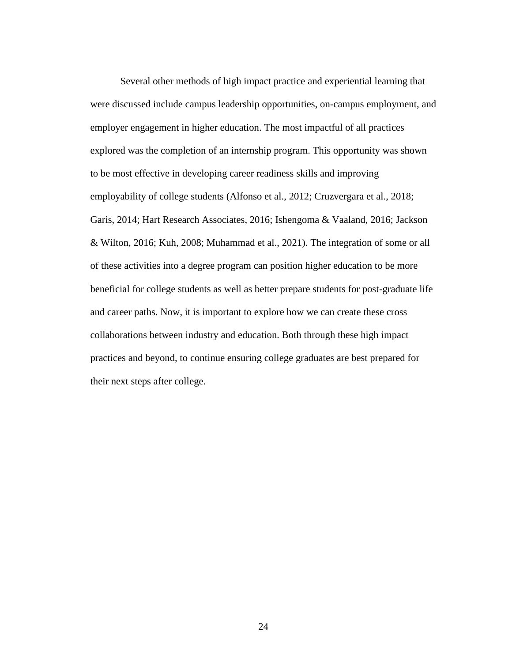Several other methods of high impact practice and experiential learning that were discussed include campus leadership opportunities, on-campus employment, and employer engagement in higher education. The most impactful of all practices explored was the completion of an internship program. This opportunity was shown to be most effective in developing career readiness skills and improving employability of college students (Alfonso et al., 2012; Cruzvergara et al., 2018; Garis, 2014; Hart Research Associates, 2016; Ishengoma & Vaaland, 2016; Jackson & Wilton, 2016; Kuh, 2008; Muhammad et al., 2021). The integration of some or all of these activities into a degree program can position higher education to be more beneficial for college students as well as better prepare students for post-graduate life and career paths. Now, it is important to explore how we can create these cross collaborations between industry and education. Both through these high impact practices and beyond, to continue ensuring college graduates are best prepared for their next steps after college.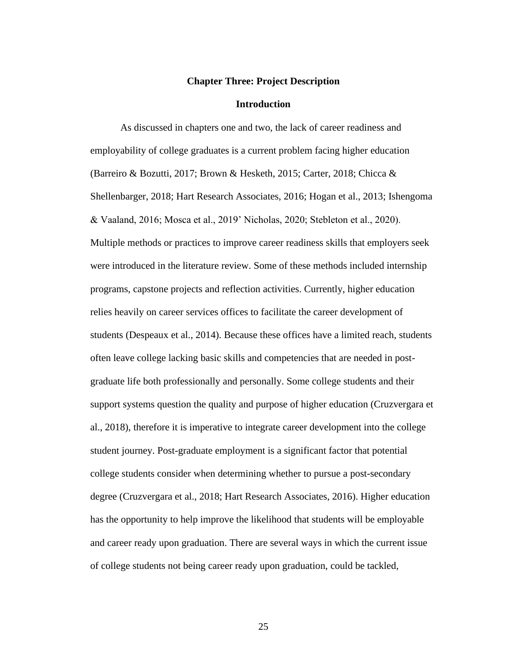#### **Chapter Three: Project Description**

#### **Introduction**

As discussed in chapters one and two, the lack of career readiness and employability of college graduates is a current problem facing higher education (Barreiro & Bozutti, 2017; Brown & Hesketh, 2015; Carter, 2018; Chicca & Shellenbarger, 2018; Hart Research Associates, 2016; Hogan et al., 2013; Ishengoma & Vaaland, 2016; Mosca et al., 2019' Nicholas, 2020; Stebleton et al., 2020). Multiple methods or practices to improve career readiness skills that employers seek were introduced in the literature review. Some of these methods included internship programs, capstone projects and reflection activities. Currently, higher education relies heavily on career services offices to facilitate the career development of students (Despeaux et al., 2014). Because these offices have a limited reach, students often leave college lacking basic skills and competencies that are needed in postgraduate life both professionally and personally. Some college students and their support systems question the quality and purpose of higher education (Cruzvergara et al., 2018), therefore it is imperative to integrate career development into the college student journey. Post-graduate employment is a significant factor that potential college students consider when determining whether to pursue a post-secondary degree (Cruzvergara et al., 2018; Hart Research Associates, 2016). Higher education has the opportunity to help improve the likelihood that students will be employable and career ready upon graduation. There are several ways in which the current issue of college students not being career ready upon graduation, could be tackled,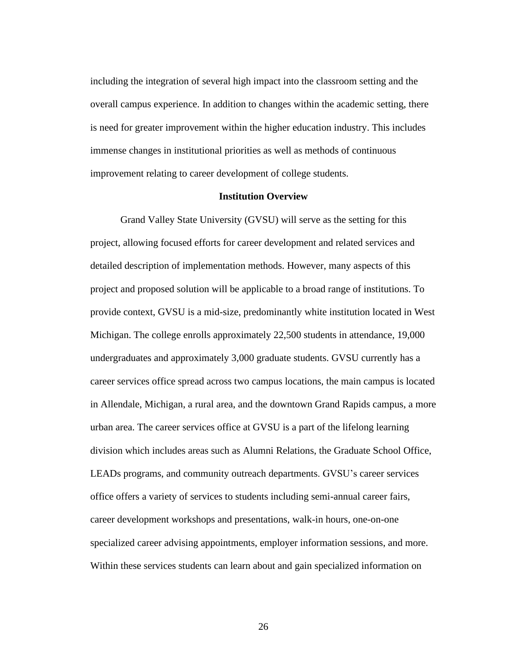including the integration of several high impact into the classroom setting and the overall campus experience. In addition to changes within the academic setting, there is need for greater improvement within the higher education industry. This includes immense changes in institutional priorities as well as methods of continuous improvement relating to career development of college students.

#### **Institution Overview**

Grand Valley State University (GVSU) will serve as the setting for this project, allowing focused efforts for career development and related services and detailed description of implementation methods. However, many aspects of this project and proposed solution will be applicable to a broad range of institutions. To provide context, GVSU is a mid-size, predominantly white institution located in West Michigan. The college enrolls approximately 22,500 students in attendance, 19,000 undergraduates and approximately 3,000 graduate students. GVSU currently has a career services office spread across two campus locations, the main campus is located in Allendale, Michigan, a rural area, and the downtown Grand Rapids campus, a more urban area. The career services office at GVSU is a part of the lifelong learning division which includes areas such as Alumni Relations, the Graduate School Office, LEADs programs, and community outreach departments. GVSU's career services office offers a variety of services to students including semi-annual career fairs, career development workshops and presentations, walk-in hours, one-on-one specialized career advising appointments, employer information sessions, and more. Within these services students can learn about and gain specialized information on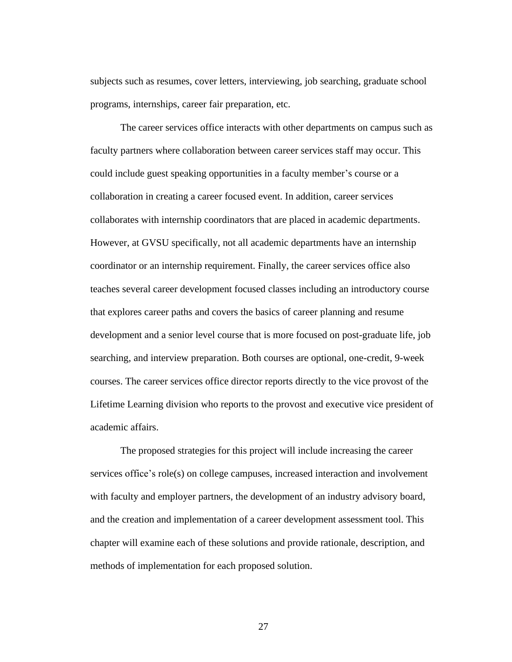subjects such as resumes, cover letters, interviewing, job searching, graduate school programs, internships, career fair preparation, etc.

The career services office interacts with other departments on campus such as faculty partners where collaboration between career services staff may occur. This could include guest speaking opportunities in a faculty member's course or a collaboration in creating a career focused event. In addition, career services collaborates with internship coordinators that are placed in academic departments. However, at GVSU specifically, not all academic departments have an internship coordinator or an internship requirement. Finally, the career services office also teaches several career development focused classes including an introductory course that explores career paths and covers the basics of career planning and resume development and a senior level course that is more focused on post-graduate life, job searching, and interview preparation. Both courses are optional, one-credit, 9-week courses. The career services office director reports directly to the vice provost of the Lifetime Learning division who reports to the provost and executive vice president of academic affairs.

The proposed strategies for this project will include increasing the career services office's role(s) on college campuses, increased interaction and involvement with faculty and employer partners, the development of an industry advisory board, and the creation and implementation of a career development assessment tool. This chapter will examine each of these solutions and provide rationale, description, and methods of implementation for each proposed solution.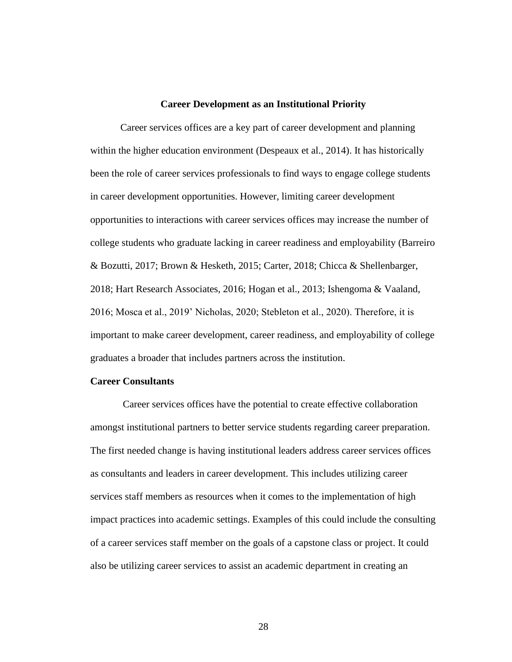#### **Career Development as an Institutional Priority**

Career services offices are a key part of career development and planning within the higher education environment (Despeaux et al., 2014). It has historically been the role of career services professionals to find ways to engage college students in career development opportunities. However, limiting career development opportunities to interactions with career services offices may increase the number of college students who graduate lacking in career readiness and employability (Barreiro & Bozutti, 2017; Brown & Hesketh, 2015; Carter, 2018; Chicca & Shellenbarger, 2018; Hart Research Associates, 2016; Hogan et al., 2013; Ishengoma & Vaaland, 2016; Mosca et al., 2019' Nicholas, 2020; Stebleton et al., 2020). Therefore, it is important to make career development, career readiness, and employability of college graduates a broader that includes partners across the institution.

# **Career Consultants**

Career services offices have the potential to create effective collaboration amongst institutional partners to better service students regarding career preparation. The first needed change is having institutional leaders address career services offices as consultants and leaders in career development. This includes utilizing career services staff members as resources when it comes to the implementation of high impact practices into academic settings. Examples of this could include the consulting of a career services staff member on the goals of a capstone class or project. It could also be utilizing career services to assist an academic department in creating an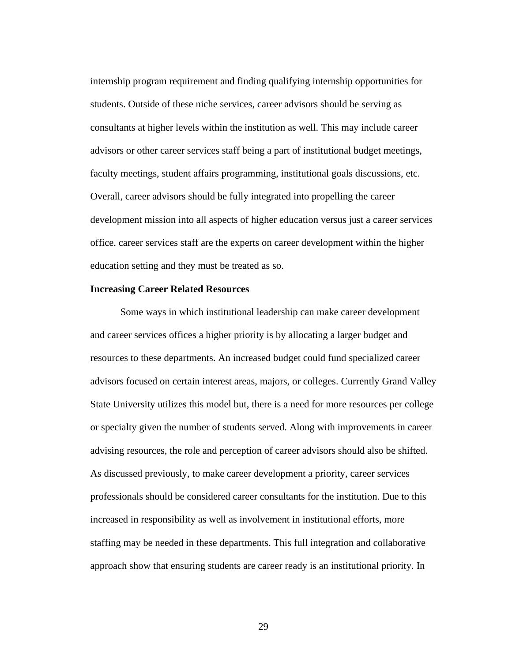internship program requirement and finding qualifying internship opportunities for students. Outside of these niche services, career advisors should be serving as consultants at higher levels within the institution as well. This may include career advisors or other career services staff being a part of institutional budget meetings, faculty meetings, student affairs programming, institutional goals discussions, etc. Overall, career advisors should be fully integrated into propelling the career development mission into all aspects of higher education versus just a career services office. career services staff are the experts on career development within the higher education setting and they must be treated as so.

# **Increasing Career Related Resources**

Some ways in which institutional leadership can make career development and career services offices a higher priority is by allocating a larger budget and resources to these departments. An increased budget could fund specialized career advisors focused on certain interest areas, majors, or colleges. Currently Grand Valley State University utilizes this model but, there is a need for more resources per college or specialty given the number of students served. Along with improvements in career advising resources, the role and perception of career advisors should also be shifted. As discussed previously, to make career development a priority, career services professionals should be considered career consultants for the institution. Due to this increased in responsibility as well as involvement in institutional efforts, more staffing may be needed in these departments. This full integration and collaborative approach show that ensuring students are career ready is an institutional priority. In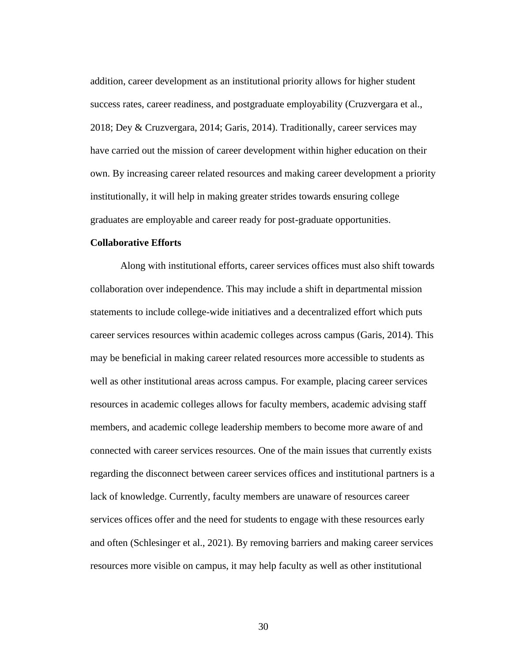addition, career development as an institutional priority allows for higher student success rates, career readiness, and postgraduate employability (Cruzvergara et al., 2018; Dey & Cruzvergara, 2014; Garis, 2014). Traditionally, career services may have carried out the mission of career development within higher education on their own. By increasing career related resources and making career development a priority institutionally, it will help in making greater strides towards ensuring college graduates are employable and career ready for post-graduate opportunities.

## **Collaborative Efforts**

Along with institutional efforts, career services offices must also shift towards collaboration over independence. This may include a shift in departmental mission statements to include college-wide initiatives and a decentralized effort which puts career services resources within academic colleges across campus (Garis, 2014). This may be beneficial in making career related resources more accessible to students as well as other institutional areas across campus. For example, placing career services resources in academic colleges allows for faculty members, academic advising staff members, and academic college leadership members to become more aware of and connected with career services resources. One of the main issues that currently exists regarding the disconnect between career services offices and institutional partners is a lack of knowledge. Currently, faculty members are unaware of resources career services offices offer and the need for students to engage with these resources early and often (Schlesinger et al., 2021). By removing barriers and making career services resources more visible on campus, it may help faculty as well as other institutional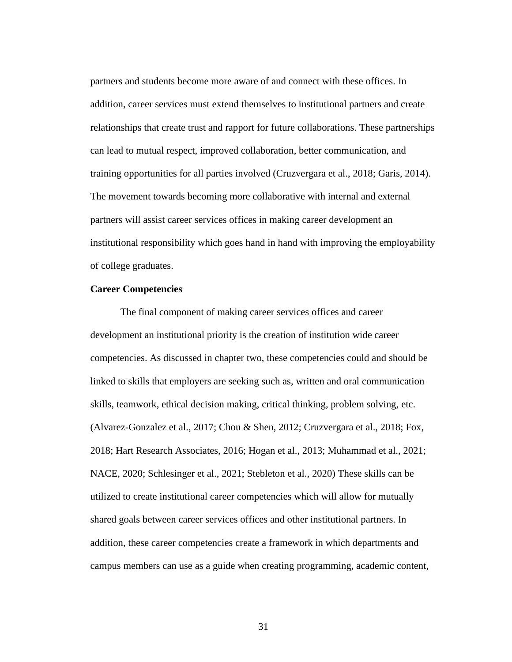partners and students become more aware of and connect with these offices. In addition, career services must extend themselves to institutional partners and create relationships that create trust and rapport for future collaborations. These partnerships can lead to mutual respect, improved collaboration, better communication, and training opportunities for all parties involved (Cruzvergara et al., 2018; Garis, 2014). The movement towards becoming more collaborative with internal and external partners will assist career services offices in making career development an institutional responsibility which goes hand in hand with improving the employability of college graduates.

# **Career Competencies**

The final component of making career services offices and career development an institutional priority is the creation of institution wide career competencies. As discussed in chapter two, these competencies could and should be linked to skills that employers are seeking such as, written and oral communication skills, teamwork, ethical decision making, critical thinking, problem solving, etc. (Alvarez-Gonzalez et al., 2017; Chou & Shen, 2012; Cruzvergara et al., 2018; Fox, 2018; Hart Research Associates, 2016; Hogan et al., 2013; Muhammad et al., 2021; NACE, 2020; Schlesinger et al., 2021; Stebleton et al., 2020) These skills can be utilized to create institutional career competencies which will allow for mutually shared goals between career services offices and other institutional partners. In addition, these career competencies create a framework in which departments and campus members can use as a guide when creating programming, academic content,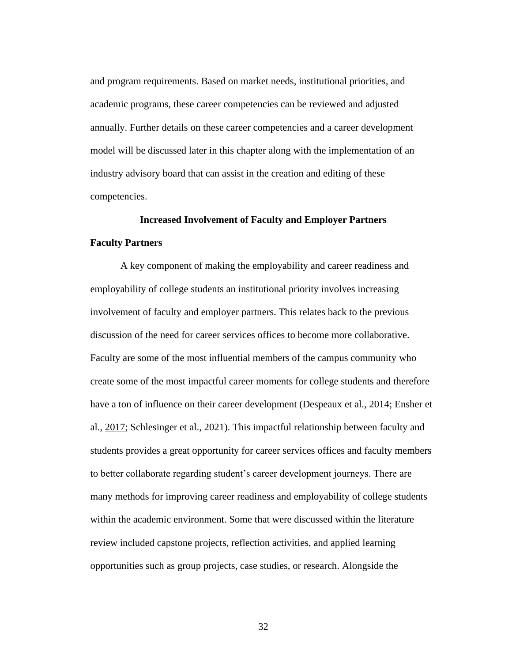and program requirements. Based on market needs, institutional priorities, and academic programs, these career competencies can be reviewed and adjusted annually. Further details on these career competencies and a career development model will be discussed later in this chapter along with the implementation of an industry advisory board that can assist in the creation and editing of these competencies.

# **Increased Involvement of Faculty and Employer Partners**

# **Faculty Partners**

A key component of making the employability and career readiness and employability of college students an institutional priority involves increasing involvement of faculty and employer partners. This relates back to the previous discussion of the need for career services offices to become more collaborative. Faculty are some of the most influential members of the campus community who create some of the most impactful career moments for college students and therefore have a ton of influence on their career development (Despeaux et al., 2014; Ensher et al., [2017;](https://onlinelibrary-wiley-com.ezproxy.gvsu.edu/doi/full/10.1002/cdq.12255#cdq12255-bib-0009) Schlesinger et al., 2021). This impactful relationship between faculty and students provides a great opportunity for career services offices and faculty members to better collaborate regarding student's career development journeys. There are many methods for improving career readiness and employability of college students within the academic environment. Some that were discussed within the literature review included capstone projects, reflection activities, and applied learning opportunities such as group projects, case studies, or research. Alongside the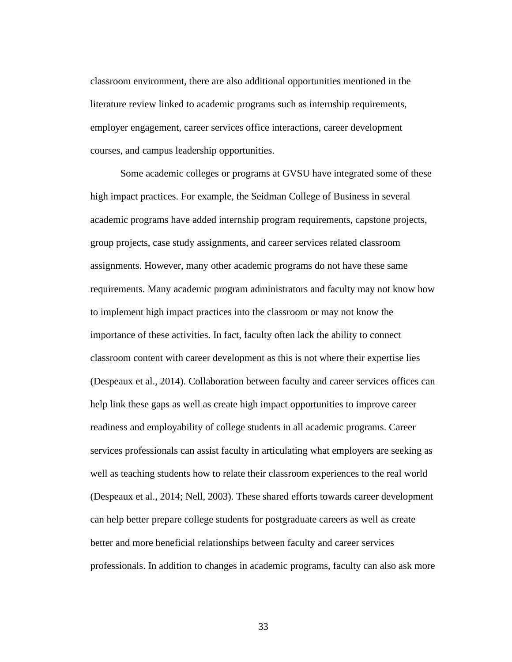classroom environment, there are also additional opportunities mentioned in the literature review linked to academic programs such as internship requirements, employer engagement, career services office interactions, career development courses, and campus leadership opportunities.

Some academic colleges or programs at GVSU have integrated some of these high impact practices. For example, the Seidman College of Business in several academic programs have added internship program requirements, capstone projects, group projects, case study assignments, and career services related classroom assignments. However, many other academic programs do not have these same requirements. Many academic program administrators and faculty may not know how to implement high impact practices into the classroom or may not know the importance of these activities. In fact, faculty often lack the ability to connect classroom content with career development as this is not where their expertise lies (Despeaux et al., 2014). Collaboration between faculty and career services offices can help link these gaps as well as create high impact opportunities to improve career readiness and employability of college students in all academic programs. Career services professionals can assist faculty in articulating what employers are seeking as well as teaching students how to relate their classroom experiences to the real world (Despeaux et al., 2014; Nell, 2003). These shared efforts towards career development can help better prepare college students for postgraduate careers as well as create better and more beneficial relationships between faculty and career services professionals. In addition to changes in academic programs, faculty can also ask more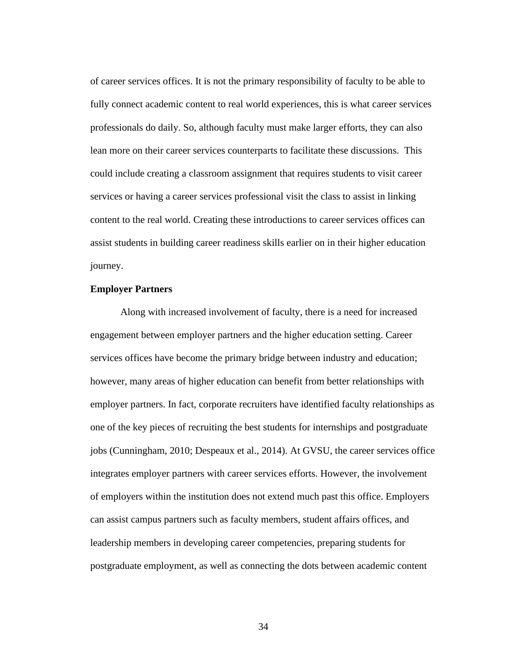of career services offices. It is not the primary responsibility of faculty to be able to fully connect academic content to real world experiences, this is what career services professionals do daily. So, although faculty must make larger efforts, they can also lean more on their career services counterparts to facilitate these discussions. This could include creating a classroom assignment that requires students to visit career services or having a career services professional visit the class to assist in linking content to the real world. Creating these introductions to career services offices can assist students in building career readiness skills earlier on in their higher education journey.

# **Employer Partners**

Along with increased involvement of faculty, there is a need for increased engagement between employer partners and the higher education setting. Career services offices have become the primary bridge between industry and education; however, many areas of higher education can benefit from better relationships with employer partners. In fact, corporate recruiters have identified faculty relationships as one of the key pieces of recruiting the best students for internships and postgraduate jobs (Cunningham, 2010; Despeaux et al., 2014). At GVSU, the career services office integrates employer partners with career services efforts. However, the involvement of employers within the institution does not extend much past this office. Employers can assist campus partners such as faculty members, student affairs offices, and leadership members in developing career competencies, preparing students for postgraduate employment, as well as connecting the dots between academic content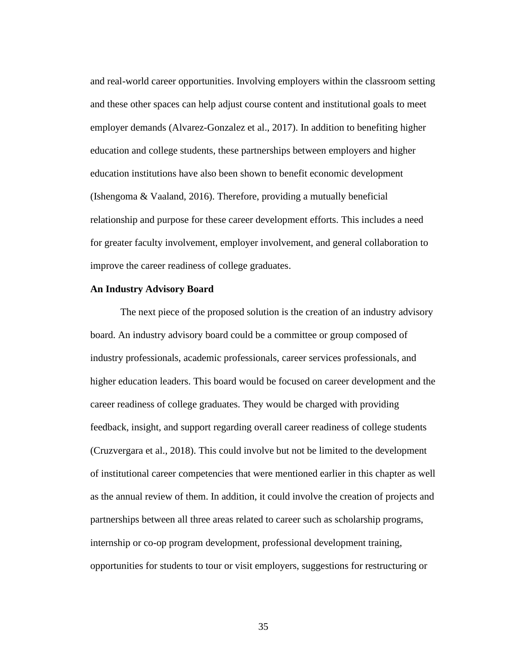and real-world career opportunities. Involving employers within the classroom setting and these other spaces can help adjust course content and institutional goals to meet employer demands (Alvarez-Gonzalez et al., 2017). In addition to benefiting higher education and college students, these partnerships between employers and higher education institutions have also been shown to benefit economic development (Ishengoma & Vaaland, 2016). Therefore, providing a mutually beneficial relationship and purpose for these career development efforts. This includes a need for greater faculty involvement, employer involvement, and general collaboration to improve the career readiness of college graduates.

# **An Industry Advisory Board**

The next piece of the proposed solution is the creation of an industry advisory board. An industry advisory board could be a committee or group composed of industry professionals, academic professionals, career services professionals, and higher education leaders. This board would be focused on career development and the career readiness of college graduates. They would be charged with providing feedback, insight, and support regarding overall career readiness of college students (Cruzvergara et al., 2018). This could involve but not be limited to the development of institutional career competencies that were mentioned earlier in this chapter as well as the annual review of them. In addition, it could involve the creation of projects and partnerships between all three areas related to career such as scholarship programs, internship or co-op program development, professional development training, opportunities for students to tour or visit employers, suggestions for restructuring or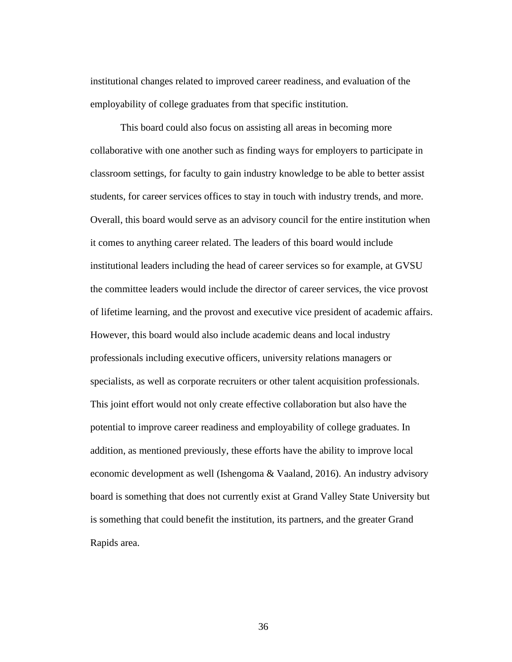institutional changes related to improved career readiness, and evaluation of the employability of college graduates from that specific institution.

This board could also focus on assisting all areas in becoming more collaborative with one another such as finding ways for employers to participate in classroom settings, for faculty to gain industry knowledge to be able to better assist students, for career services offices to stay in touch with industry trends, and more. Overall, this board would serve as an advisory council for the entire institution when it comes to anything career related. The leaders of this board would include institutional leaders including the head of career services so for example, at GVSU the committee leaders would include the director of career services, the vice provost of lifetime learning, and the provost and executive vice president of academic affairs. However, this board would also include academic deans and local industry professionals including executive officers, university relations managers or specialists, as well as corporate recruiters or other talent acquisition professionals. This joint effort would not only create effective collaboration but also have the potential to improve career readiness and employability of college graduates. In addition, as mentioned previously, these efforts have the ability to improve local economic development as well (Ishengoma & Vaaland, 2016). An industry advisory board is something that does not currently exist at Grand Valley State University but is something that could benefit the institution, its partners, and the greater Grand Rapids area.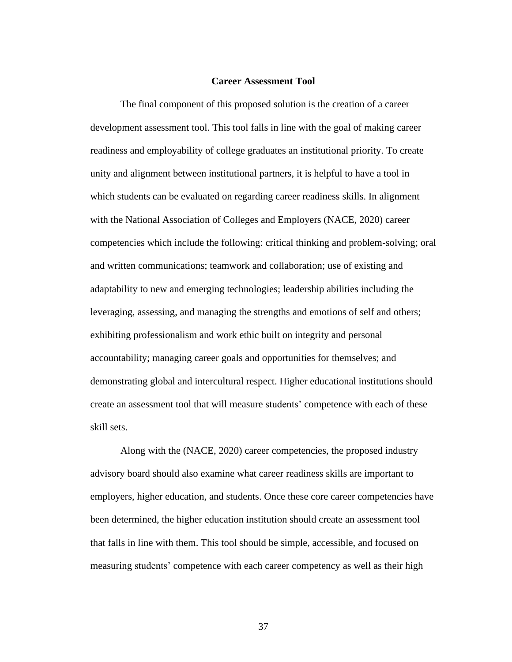## **Career Assessment Tool**

The final component of this proposed solution is the creation of a career development assessment tool. This tool falls in line with the goal of making career readiness and employability of college graduates an institutional priority. To create unity and alignment between institutional partners, it is helpful to have a tool in which students can be evaluated on regarding career readiness skills. In alignment with the National Association of Colleges and Employers (NACE, 2020) career competencies which include the following: critical thinking and problem-solving; oral and written communications; teamwork and collaboration; use of existing and adaptability to new and emerging technologies; leadership abilities including the leveraging, assessing, and managing the strengths and emotions of self and others; exhibiting professionalism and work ethic built on integrity and personal accountability; managing career goals and opportunities for themselves; and demonstrating global and intercultural respect. Higher educational institutions should create an assessment tool that will measure students' competence with each of these skill sets.

Along with the (NACE, 2020) career competencies, the proposed industry advisory board should also examine what career readiness skills are important to employers, higher education, and students. Once these core career competencies have been determined, the higher education institution should create an assessment tool that falls in line with them. This tool should be simple, accessible, and focused on measuring students' competence with each career competency as well as their high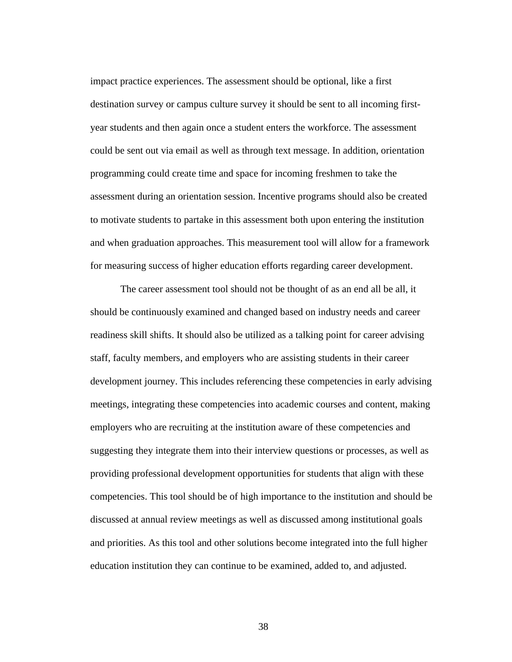impact practice experiences. The assessment should be optional, like a first destination survey or campus culture survey it should be sent to all incoming firstyear students and then again once a student enters the workforce. The assessment could be sent out via email as well as through text message. In addition, orientation programming could create time and space for incoming freshmen to take the assessment during an orientation session. Incentive programs should also be created to motivate students to partake in this assessment both upon entering the institution and when graduation approaches. This measurement tool will allow for a framework for measuring success of higher education efforts regarding career development.

The career assessment tool should not be thought of as an end all be all, it should be continuously examined and changed based on industry needs and career readiness skill shifts. It should also be utilized as a talking point for career advising staff, faculty members, and employers who are assisting students in their career development journey. This includes referencing these competencies in early advising meetings, integrating these competencies into academic courses and content, making employers who are recruiting at the institution aware of these competencies and suggesting they integrate them into their interview questions or processes, as well as providing professional development opportunities for students that align with these competencies. This tool should be of high importance to the institution and should be discussed at annual review meetings as well as discussed among institutional goals and priorities. As this tool and other solutions become integrated into the full higher education institution they can continue to be examined, added to, and adjusted.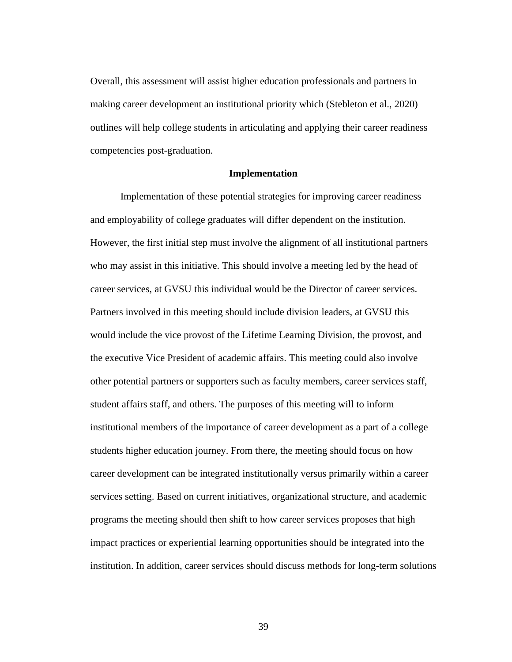Overall, this assessment will assist higher education professionals and partners in making career development an institutional priority which (Stebleton et al., 2020) outlines will help college students in articulating and applying their career readiness competencies post-graduation.

#### **Implementation**

Implementation of these potential strategies for improving career readiness and employability of college graduates will differ dependent on the institution. However, the first initial step must involve the alignment of all institutional partners who may assist in this initiative. This should involve a meeting led by the head of career services, at GVSU this individual would be the Director of career services. Partners involved in this meeting should include division leaders, at GVSU this would include the vice provost of the Lifetime Learning Division, the provost, and the executive Vice President of academic affairs. This meeting could also involve other potential partners or supporters such as faculty members, career services staff, student affairs staff, and others. The purposes of this meeting will to inform institutional members of the importance of career development as a part of a college students higher education journey. From there, the meeting should focus on how career development can be integrated institutionally versus primarily within a career services setting. Based on current initiatives, organizational structure, and academic programs the meeting should then shift to how career services proposes that high impact practices or experiential learning opportunities should be integrated into the institution. In addition, career services should discuss methods for long-term solutions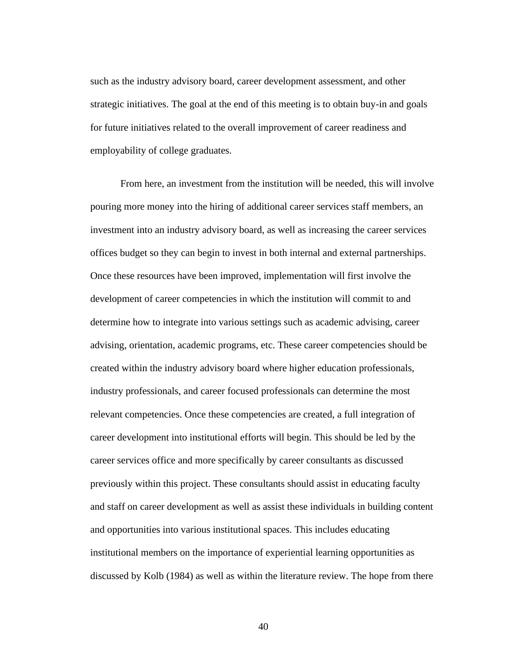such as the industry advisory board, career development assessment, and other strategic initiatives. The goal at the end of this meeting is to obtain buy-in and goals for future initiatives related to the overall improvement of career readiness and employability of college graduates.

From here, an investment from the institution will be needed, this will involve pouring more money into the hiring of additional career services staff members, an investment into an industry advisory board, as well as increasing the career services offices budget so they can begin to invest in both internal and external partnerships. Once these resources have been improved, implementation will first involve the development of career competencies in which the institution will commit to and determine how to integrate into various settings such as academic advising, career advising, orientation, academic programs, etc. These career competencies should be created within the industry advisory board where higher education professionals, industry professionals, and career focused professionals can determine the most relevant competencies. Once these competencies are created, a full integration of career development into institutional efforts will begin. This should be led by the career services office and more specifically by career consultants as discussed previously within this project. These consultants should assist in educating faculty and staff on career development as well as assist these individuals in building content and opportunities into various institutional spaces. This includes educating institutional members on the importance of experiential learning opportunities as discussed by Kolb (1984) as well as within the literature review. The hope from there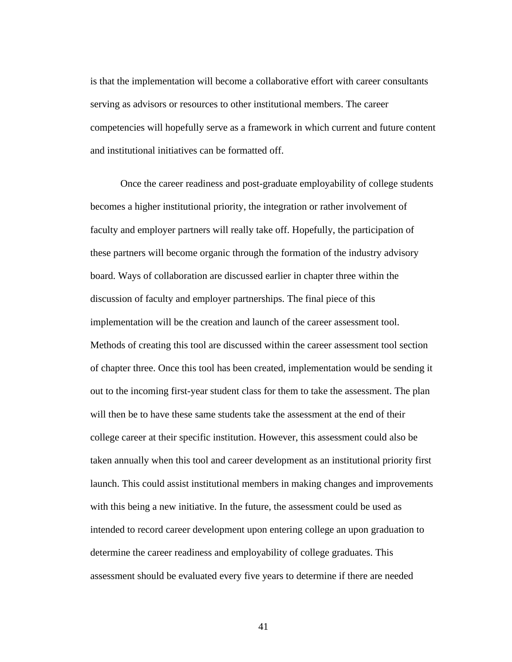is that the implementation will become a collaborative effort with career consultants serving as advisors or resources to other institutional members. The career competencies will hopefully serve as a framework in which current and future content and institutional initiatives can be formatted off.

Once the career readiness and post-graduate employability of college students becomes a higher institutional priority, the integration or rather involvement of faculty and employer partners will really take off. Hopefully, the participation of these partners will become organic through the formation of the industry advisory board. Ways of collaboration are discussed earlier in chapter three within the discussion of faculty and employer partnerships. The final piece of this implementation will be the creation and launch of the career assessment tool. Methods of creating this tool are discussed within the career assessment tool section of chapter three. Once this tool has been created, implementation would be sending it out to the incoming first-year student class for them to take the assessment. The plan will then be to have these same students take the assessment at the end of their college career at their specific institution. However, this assessment could also be taken annually when this tool and career development as an institutional priority first launch. This could assist institutional members in making changes and improvements with this being a new initiative. In the future, the assessment could be used as intended to record career development upon entering college an upon graduation to determine the career readiness and employability of college graduates. This assessment should be evaluated every five years to determine if there are needed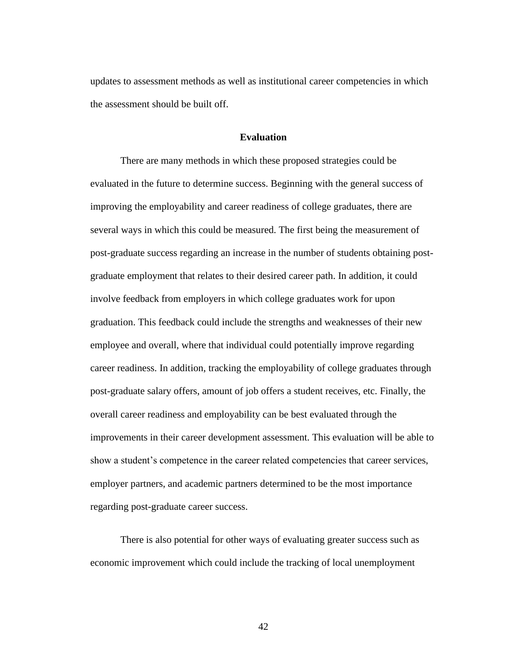updates to assessment methods as well as institutional career competencies in which the assessment should be built off.

# **Evaluation**

There are many methods in which these proposed strategies could be evaluated in the future to determine success. Beginning with the general success of improving the employability and career readiness of college graduates, there are several ways in which this could be measured. The first being the measurement of post-graduate success regarding an increase in the number of students obtaining postgraduate employment that relates to their desired career path. In addition, it could involve feedback from employers in which college graduates work for upon graduation. This feedback could include the strengths and weaknesses of their new employee and overall, where that individual could potentially improve regarding career readiness. In addition, tracking the employability of college graduates through post-graduate salary offers, amount of job offers a student receives, etc. Finally, the overall career readiness and employability can be best evaluated through the improvements in their career development assessment. This evaluation will be able to show a student's competence in the career related competencies that career services, employer partners, and academic partners determined to be the most importance regarding post-graduate career success.

There is also potential for other ways of evaluating greater success such as economic improvement which could include the tracking of local unemployment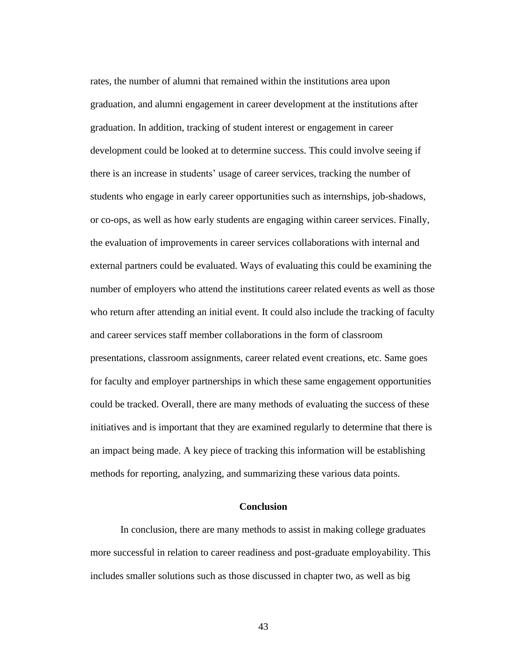rates, the number of alumni that remained within the institutions area upon graduation, and alumni engagement in career development at the institutions after graduation. In addition, tracking of student interest or engagement in career development could be looked at to determine success. This could involve seeing if there is an increase in students' usage of career services, tracking the number of students who engage in early career opportunities such as internships, job-shadows, or co-ops, as well as how early students are engaging within career services. Finally, the evaluation of improvements in career services collaborations with internal and external partners could be evaluated. Ways of evaluating this could be examining the number of employers who attend the institutions career related events as well as those who return after attending an initial event. It could also include the tracking of faculty and career services staff member collaborations in the form of classroom presentations, classroom assignments, career related event creations, etc. Same goes for faculty and employer partnerships in which these same engagement opportunities could be tracked. Overall, there are many methods of evaluating the success of these initiatives and is important that they are examined regularly to determine that there is an impact being made. A key piece of tracking this information will be establishing methods for reporting, analyzing, and summarizing these various data points.

# **Conclusion**

In conclusion, there are many methods to assist in making college graduates more successful in relation to career readiness and post-graduate employability. This includes smaller solutions such as those discussed in chapter two, as well as big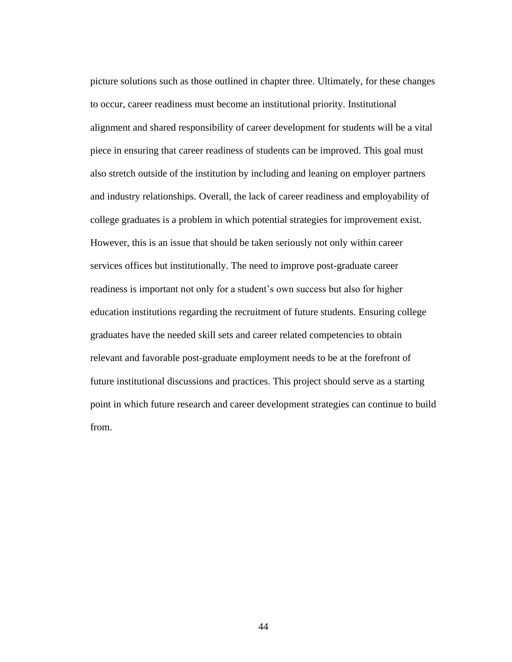picture solutions such as those outlined in chapter three. Ultimately, for these changes to occur, career readiness must become an institutional priority. Institutional alignment and shared responsibility of career development for students will be a vital piece in ensuring that career readiness of students can be improved. This goal must also stretch outside of the institution by including and leaning on employer partners and industry relationships. Overall, the lack of career readiness and employability of college graduates is a problem in which potential strategies for improvement exist. However, this is an issue that should be taken seriously not only within career services offices but institutionally. The need to improve post-graduate career readiness is important not only for a student's own success but also for higher education institutions regarding the recruitment of future students. Ensuring college graduates have the needed skill sets and career related competencies to obtain relevant and favorable post-graduate employment needs to be at the forefront of future institutional discussions and practices. This project should serve as a starting point in which future research and career development strategies can continue to build from.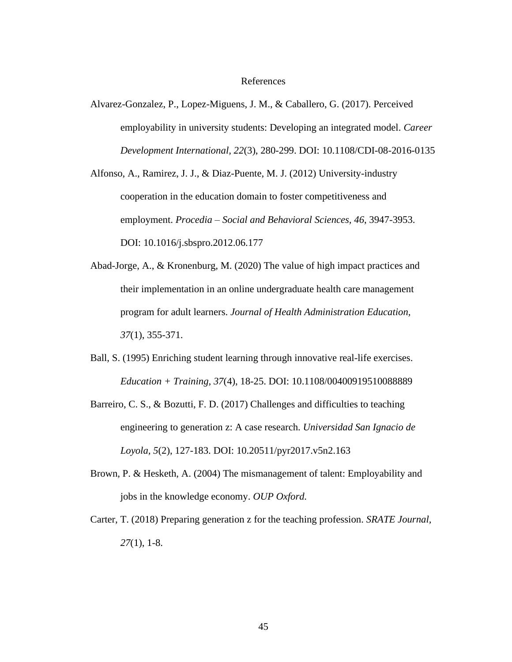#### References

Alvarez-Gonzalez, P., Lopez-Miguens, J. M., & Caballero, G. (2017). Perceived employability in university students: Developing an integrated model. *Career Development International, 22*(3), 280-299. DOI: 10.1108/CDI-08-2016-0135

Alfonso, A., Ramirez, J. J., & Diaz-Puente, M. J. (2012) University-industry cooperation in the education domain to foster competitiveness and employment. *Procedia – Social and Behavioral Sciences, 46*, 3947-3953. DOI: 10.1016/j.sbspro.2012.06.177

- Abad-Jorge, A., & Kronenburg, M. (2020) The value of high impact practices and their implementation in an online undergraduate health care management program for adult learners. *Journal of Health Administration Education, 37*(1), 355-371.
- Ball, S. (1995) Enriching student learning through innovative real-life exercises. *Education + Training, 37*(4), 18-25. DOI: 10.1108/00400919510088889
- Barreiro, C. S., & Bozutti, F. D. (2017) Challenges and difficulties to teaching engineering to generation z: A case research. *Universidad San Ignacio de Loyola, 5*(2), 127-183. DOI: 10.20511/pyr2017.v5n2.163
- Brown, P. & Hesketh, A. (2004) The mismanagement of talent: Employability and jobs in the knowledge economy. *OUP Oxford.*
- Carter, T. (2018) Preparing generation z for the teaching profession. *SRATE Journal, 27*(1), 1-8.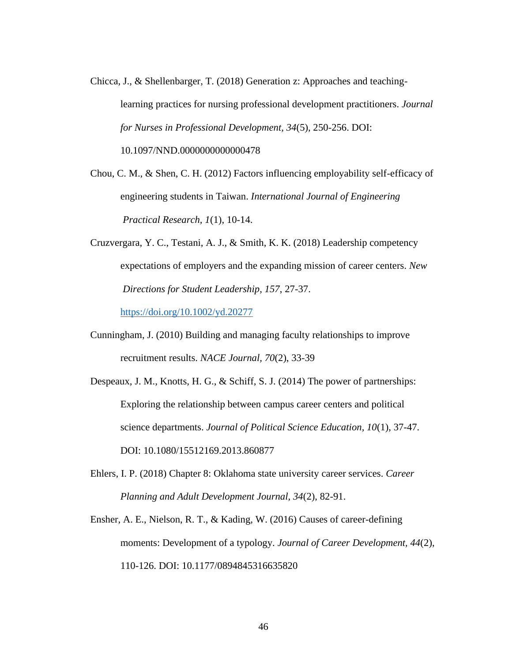Chicca, J., & Shellenbarger, T. (2018) Generation z: Approaches and teachinglearning practices for nursing professional development practitioners. *Journal for Nurses in Professional Development, 34*(5), 250-256. DOI: 10.1097/NND.0000000000000478

Chou, C. M., & Shen, C. H. (2012) Factors influencing employability self-efficacy of engineering students in Taiwan. *International Journal of Engineering Practical Research, 1*(1), 10-14.

Cruzvergara, Y. C., Testani, A. J., & Smith, K. K. (2018) Leadership competency expectations of employers and the expanding mission of career centers. *New Directions for Student Leadership, 157*, 27-37.

<https://doi.org/10.1002/yd.20277>

- Cunningham, J. (2010) Building and managing faculty relationships to improve recruitment results. *NACE Journal, 70*(2), 33-39
- Despeaux, J. M., Knotts, H. G., & Schiff, S. J. (2014) The power of partnerships: Exploring the relationship between campus career centers and political science departments. *Journal of Political Science Education, 10*(1), 37-47. DOI: 10.1080/15512169.2013.860877
- Ehlers, I. P. (2018) Chapter 8: Oklahoma state university career services. *Career Planning and Adult Development Journal, 34*(2), 82-91.

Ensher, A. E., Nielson, R. T., & Kading, W. (2016) Causes of career-defining moments: Development of a typology. *Journal of Career Development, 44*(2), 110-126. DOI: 10.1177/0894845316635820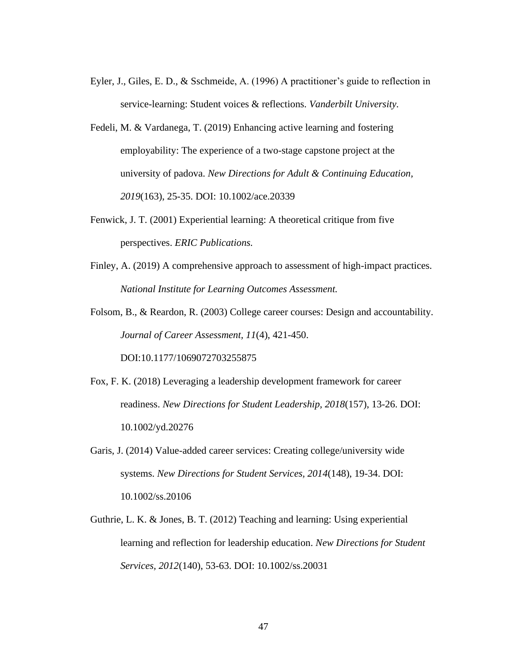- Eyler, J., Giles, E. D., & Sschmeide, A. (1996) A practitioner's guide to reflection in service-learning: Student voices & reflections. *Vanderbilt University.*
- Fedeli, M. & Vardanega, T. (2019) Enhancing active learning and fostering employability: The experience of a two-stage capstone project at the university of padova. *New Directions for Adult & Continuing Education, 2019*(163), 25-35. DOI: 10.1002/ace.20339
- Fenwick, J. T. (2001) Experiential learning: A theoretical critique from five perspectives. *ERIC Publications.*
- Finley, A. (2019) A comprehensive approach to assessment of high-impact practices. *National Institute for Learning Outcomes Assessment.*
- Folsom, B., & Reardon, R. (2003) College career courses: Design and accountability. *Journal of Career Assessment, 11*(4), 421-450.

DOI:10.1177/1069072703255875

- Fox, F. K. (2018) Leveraging a leadership development framework for career readiness. *New Directions for Student Leadership, 2018*(157), 13-26. DOI: 10.1002/yd.20276
- Garis, J. (2014) Value-added career services: Creating college/university wide systems. *New Directions for Student Services, 2014*(148), 19-34. DOI: 10.1002/ss.20106
- Guthrie, L. K. & Jones, B. T. (2012) Teaching and learning: Using experiential learning and reflection for leadership education. *New Directions for Student Services, 2012*(140), 53-63. DOI: 10.1002/ss.20031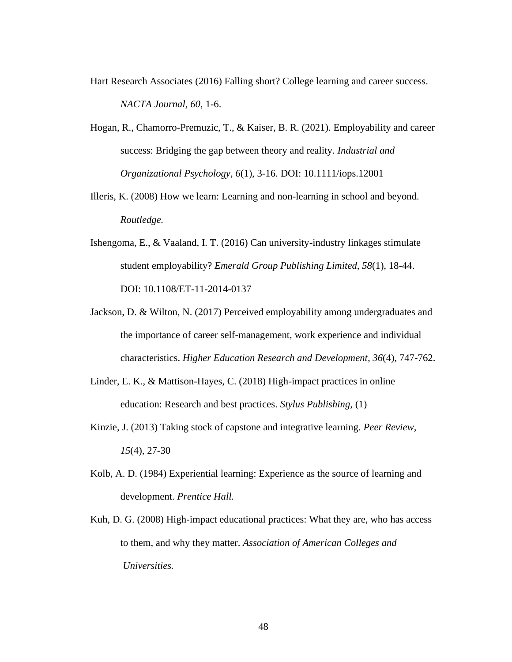- Hart Research Associates (2016) Falling short? College learning and career success. *NACTA Journal, 60*, 1-6.
- Hogan, R., Chamorro-Premuzic, T., & Kaiser, B. R. (2021). Employability and career success: Bridging the gap between theory and reality. *Industrial and Organizational Psychology, 6*(1), 3-16. DOI: 10.1111/iops.12001
- Illeris, K. (2008) How we learn: Learning and non-learning in school and beyond. *Routledge.*
- Ishengoma, E., & Vaaland, I. T. (2016) Can university-industry linkages stimulate student employability? *Emerald Group Publishing Limited, 58*(1), 18-44. DOI: 10.1108/ET-11-2014-0137
- Jackson, D. & Wilton, N. (2017) Perceived employability among undergraduates and the importance of career self-management, work experience and individual characteristics. *Higher Education Research and Development, 36*(4), 747-762.
- Linder, E. K., & Mattison-Hayes, C. (2018) High-impact practices in online education: Research and best practices. *Stylus Publishing,* (1)
- Kinzie, J. (2013) Taking stock of capstone and integrative learning. *Peer Review, 15*(4), 27-30
- Kolb, A. D. (1984) Experiential learning: Experience as the source of learning and development. *Prentice Hall.*
- Kuh, D. G. (2008) High-impact educational practices: What they are, who has access to them, and why they matter. *Association of American Colleges and Universities.*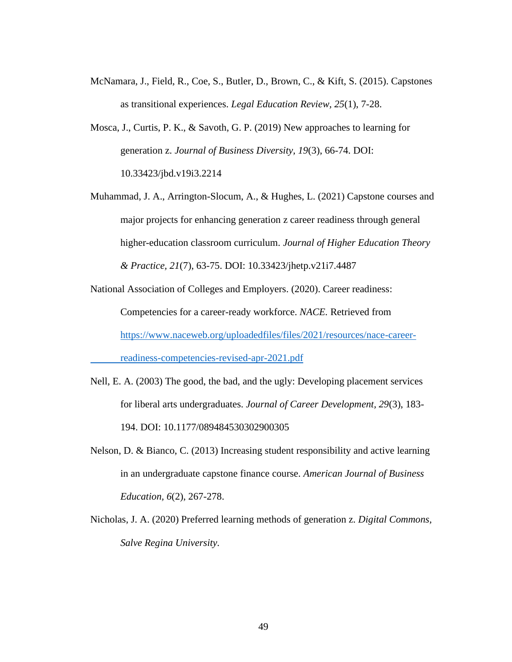- McNamara, J., Field, R., Coe, S., Butler, D., Brown, C., & Kift, S. (2015). Capstones as transitional experiences. *Legal Education Review, 25*(1), 7-28.
- Mosca, J., Curtis, P. K., & Savoth, G. P. (2019) New approaches to learning for generation z. *Journal of Business Diversity, 19*(3), 66-74. DOI: 10.33423/jbd.v19i3.2214
- Muhammad, J. A., Arrington-Slocum, A., & Hughes, L. (2021) Capstone courses and major projects for enhancing generation z career readiness through general higher-education classroom curriculum. *Journal of Higher Education Theory & Practice, 21*(7), 63-75. DOI: 10.33423/jhetp.v21i7.4487

National Association of Colleges and Employers. (2020). Career readiness: Competencies for a career-ready workforce. *NACE.* Retrieved from [https://www.naceweb.org/uploadedfiles/files/2021/resources/nace-career-](https://www.naceweb.org/uploadedfiles/files/2021/resources/nace-career-%09readiness-competencies-revised-apr-2021.pdf)

[readiness-competencies-revised-apr-2021.pdf](https://www.naceweb.org/uploadedfiles/files/2021/resources/nace-career-%09readiness-competencies-revised-apr-2021.pdf)

- Nell, E. A. (2003) The good, the bad, and the ugly: Developing placement services for liberal arts undergraduates. *Journal of Career Development, 29*(3), 183- 194. DOI: 10.1177/089484530302900305
- Nelson, D. & Bianco, C. (2013) Increasing student responsibility and active learning in an undergraduate capstone finance course. *American Journal of Business Education, 6*(2), 267-278.
- Nicholas, J. A. (2020) Preferred learning methods of generation z. *Digital Commons, Salve Regina University.*